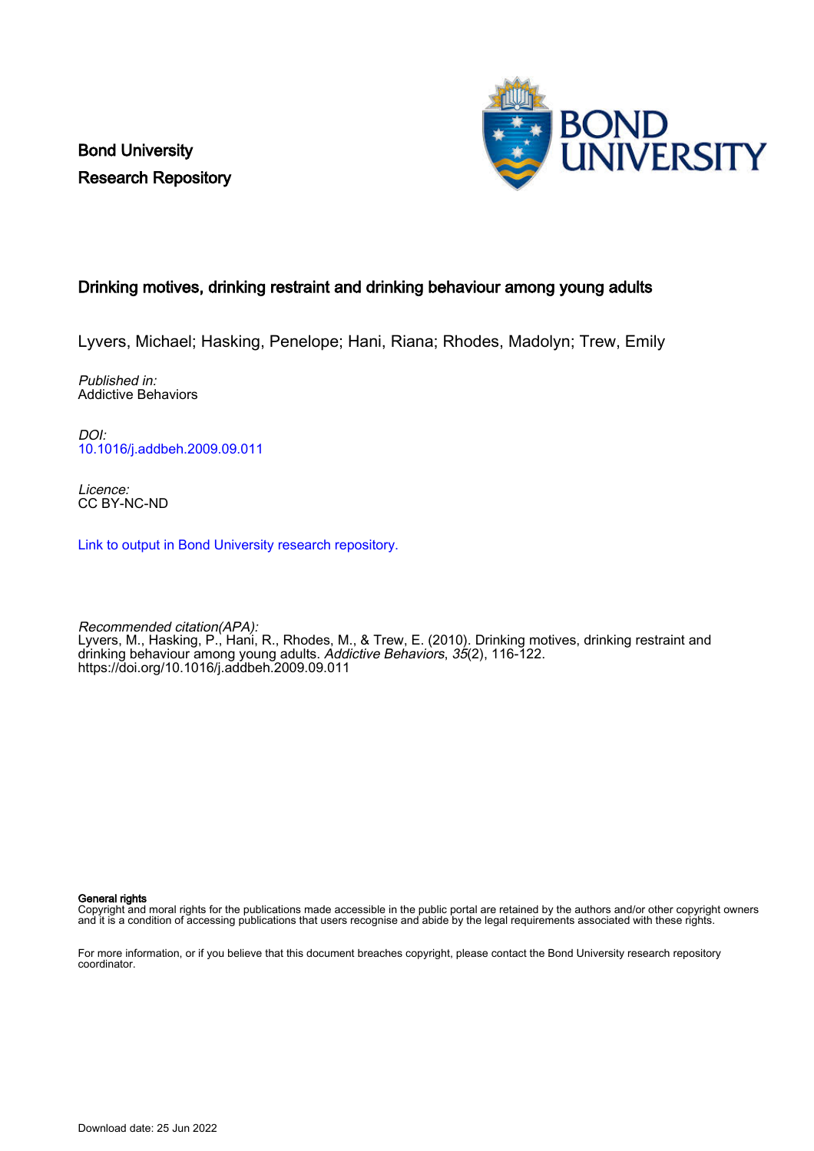Bond University Research Repository



## Drinking motives, drinking restraint and drinking behaviour among young adults

Lyvers, Michael; Hasking, Penelope; Hani, Riana; Rhodes, Madolyn; Trew, Emily

Published in: Addictive Behaviors

DOI: [10.1016/j.addbeh.2009.09.011](https://doi.org/10.1016/j.addbeh.2009.09.011)

Licence: CC BY-NC-ND

[Link to output in Bond University research repository.](https://research.bond.edu.au/en/publications/d53c561d-5f68-4ba6-81cf-217321f4b6f4)

Recommended citation(APA): Lyvers, M., Hasking, P., Hani, R., Rhodes, M., & Trew, E. (2010). Drinking motives, drinking restraint and drinking behaviour among young adults. Addictive Behaviors, 35(2), 116-122. <https://doi.org/10.1016/j.addbeh.2009.09.011>

General rights

Copyright and moral rights for the publications made accessible in the public portal are retained by the authors and/or other copyright owners and it is a condition of accessing publications that users recognise and abide by the legal requirements associated with these rights.

For more information, or if you believe that this document breaches copyright, please contact the Bond University research repository coordinator.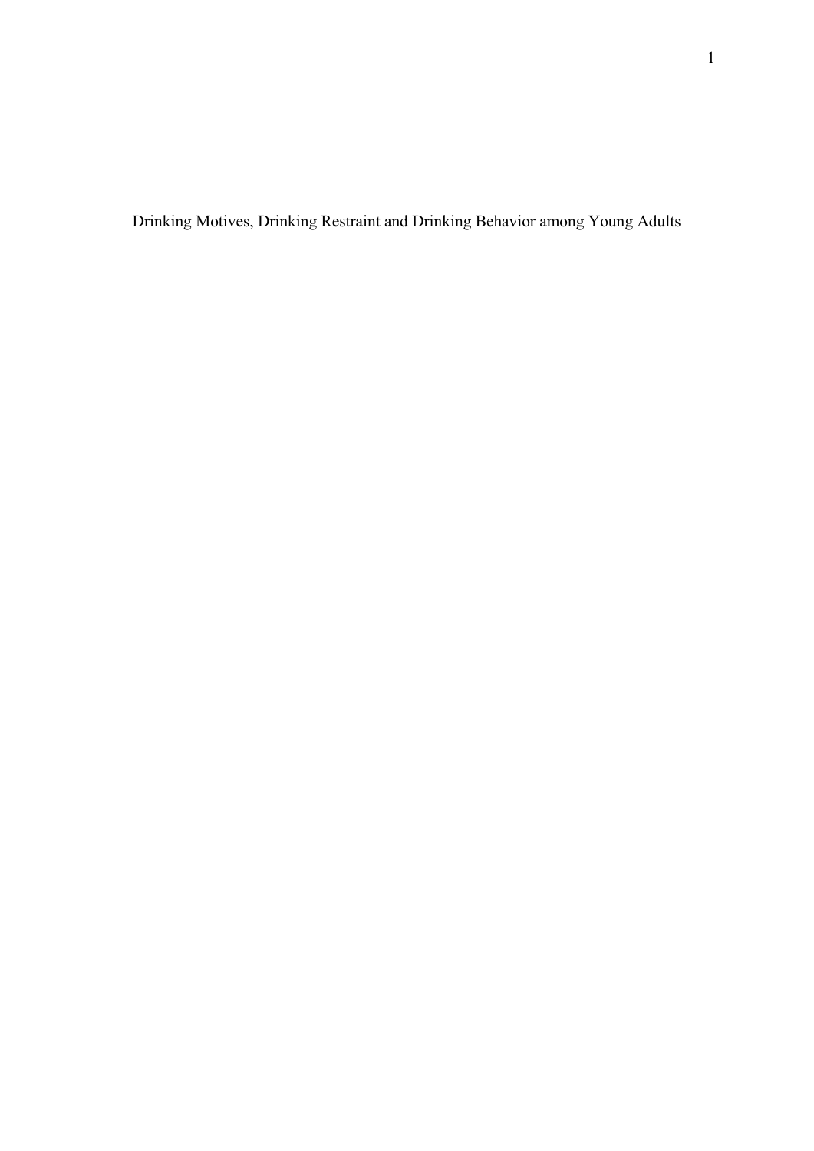Drinking Motives, Drinking Restraint and Drinking Behavior among Young Adults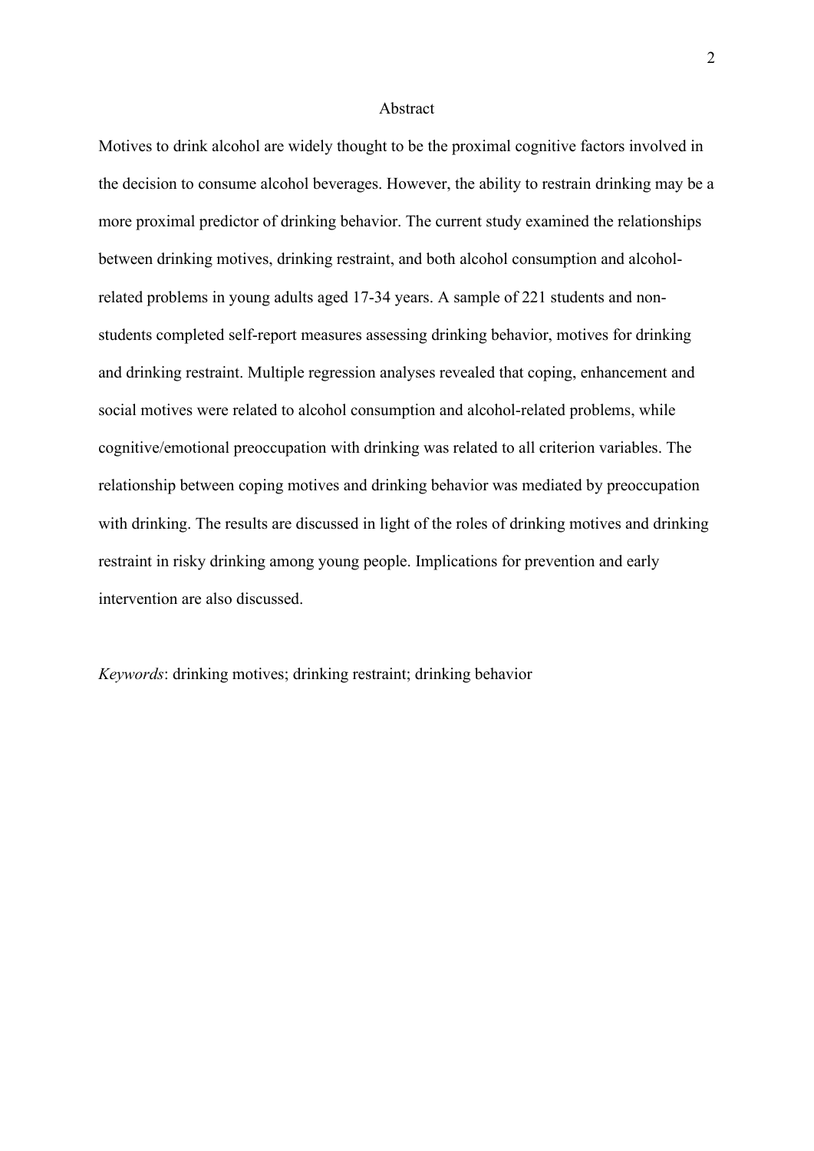#### Abstract

Motives to drink alcohol are widely thought to be the proximal cognitive factors involved in the decision to consume alcohol beverages. However, the ability to restrain drinking may be a more proximal predictor of drinking behavior. The current study examined the relationships between drinking motives, drinking restraint, and both alcohol consumption and alcoholrelated problems in young adults aged 17-34 years. A sample of 221 students and nonstudents completed self-report measures assessing drinking behavior, motives for drinking and drinking restraint. Multiple regression analyses revealed that coping, enhancement and social motives were related to alcohol consumption and alcohol-related problems, while cognitive/emotional preoccupation with drinking was related to all criterion variables. The relationship between coping motives and drinking behavior was mediated by preoccupation with drinking. The results are discussed in light of the roles of drinking motives and drinking restraint in risky drinking among young people. Implications for prevention and early intervention are also discussed.

*Keywords*: drinking motives; drinking restraint; drinking behavior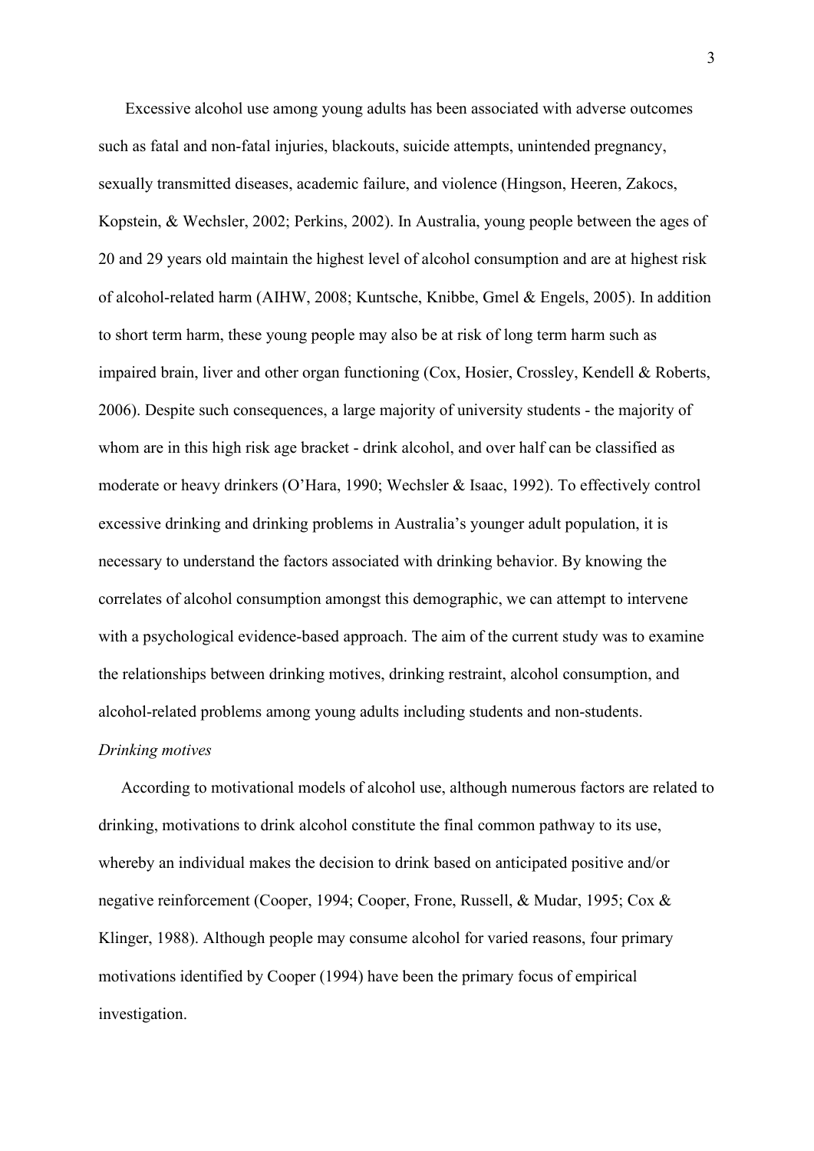Excessive alcohol use among young adults has been associated with adverse outcomes such as fatal and non-fatal injuries, blackouts, suicide attempts, unintended pregnancy, sexually transmitted diseases, academic failure, and violence (Hingson, Heeren, Zakocs, Kopstein, & Wechsler, 2002; Perkins, 2002). In Australia, young people between the ages of 20 and 29 years old maintain the highest level of alcohol consumption and are at highest risk of alcohol-related harm (AIHW, 2008; Kuntsche, Knibbe, Gmel & Engels, 2005). In addition to short term harm, these young people may also be at risk of long term harm such as impaired brain, liver and other organ functioning (Cox, Hosier, Crossley, Kendell & Roberts, 2006). Despite such consequences, a large majority of university students - the majority of whom are in this high risk age bracket - drink alcohol, and over half can be classified as moderate or heavy drinkers (O'Hara, 1990; Wechsler & Isaac, 1992). To effectively control excessive drinking and drinking problems in Australia's younger adult population, it is necessary to understand the factors associated with drinking behavior. By knowing the correlates of alcohol consumption amongst this demographic, we can attempt to intervene with a psychological evidence-based approach. The aim of the current study was to examine the relationships between drinking motives, drinking restraint, alcohol consumption, and alcohol-related problems among young adults including students and non-students.

## *Drinking motives*

According to motivational models of alcohol use, although numerous factors are related to drinking, motivations to drink alcohol constitute the final common pathway to its use, whereby an individual makes the decision to drink based on anticipated positive and/or negative reinforcement (Cooper, 1994; Cooper, Frone, Russell, & Mudar, 1995; Cox & Klinger, 1988). Although people may consume alcohol for varied reasons, four primary motivations identified by Cooper (1994) have been the primary focus of empirical investigation.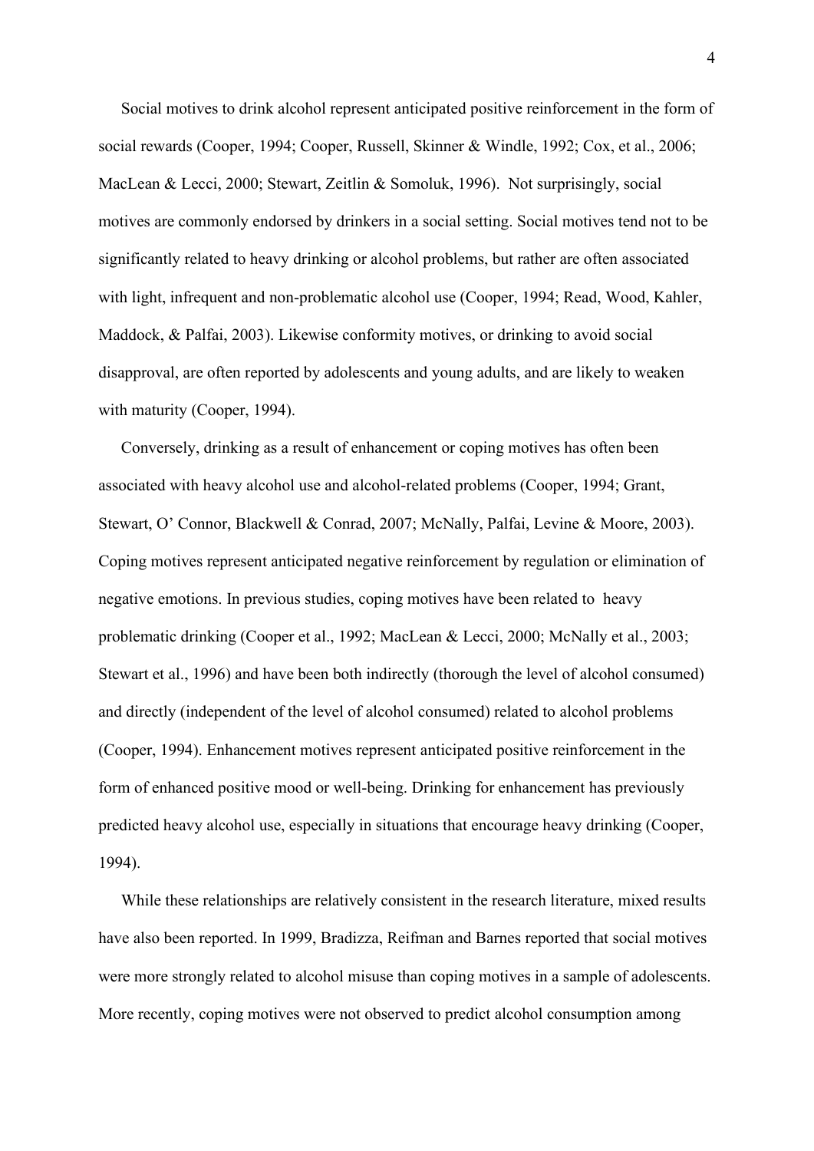Social motives to drink alcohol represent anticipated positive reinforcement in the form of social rewards (Cooper, 1994; Cooper, Russell, Skinner & Windle, 1992; Cox, et al., 2006; MacLean & Lecci, 2000; Stewart, Zeitlin & Somoluk, 1996). Not surprisingly, social motives are commonly endorsed by drinkers in a social setting. Social motives tend not to be significantly related to heavy drinking or alcohol problems, but rather are often associated with light, infrequent and non-problematic alcohol use (Cooper, 1994; Read, Wood, Kahler, Maddock, & Palfai, 2003). Likewise conformity motives, or drinking to avoid social disapproval, are often reported by adolescents and young adults, and are likely to weaken with maturity (Cooper, 1994).

Conversely, drinking as a result of enhancement or coping motives has often been associated with heavy alcohol use and alcohol-related problems (Cooper, 1994; Grant, Stewart, O' Connor, Blackwell & Conrad, 2007; McNally, Palfai, Levine & Moore, 2003). Coping motives represent anticipated negative reinforcement by regulation or elimination of negative emotions. In previous studies, coping motives have been related to heavy problematic drinking (Cooper et al., 1992; MacLean & Lecci, 2000; McNally et al., 2003; Stewart et al., 1996) and have been both indirectly (thorough the level of alcohol consumed) and directly (independent of the level of alcohol consumed) related to alcohol problems (Cooper, 1994). Enhancement motives represent anticipated positive reinforcement in the form of enhanced positive mood or well-being. Drinking for enhancement has previously predicted heavy alcohol use, especially in situations that encourage heavy drinking (Cooper, 1994).

While these relationships are relatively consistent in the research literature, mixed results have also been reported. In 1999, Bradizza, Reifman and Barnes reported that social motives were more strongly related to alcohol misuse than coping motives in a sample of adolescents. More recently, coping motives were not observed to predict alcohol consumption among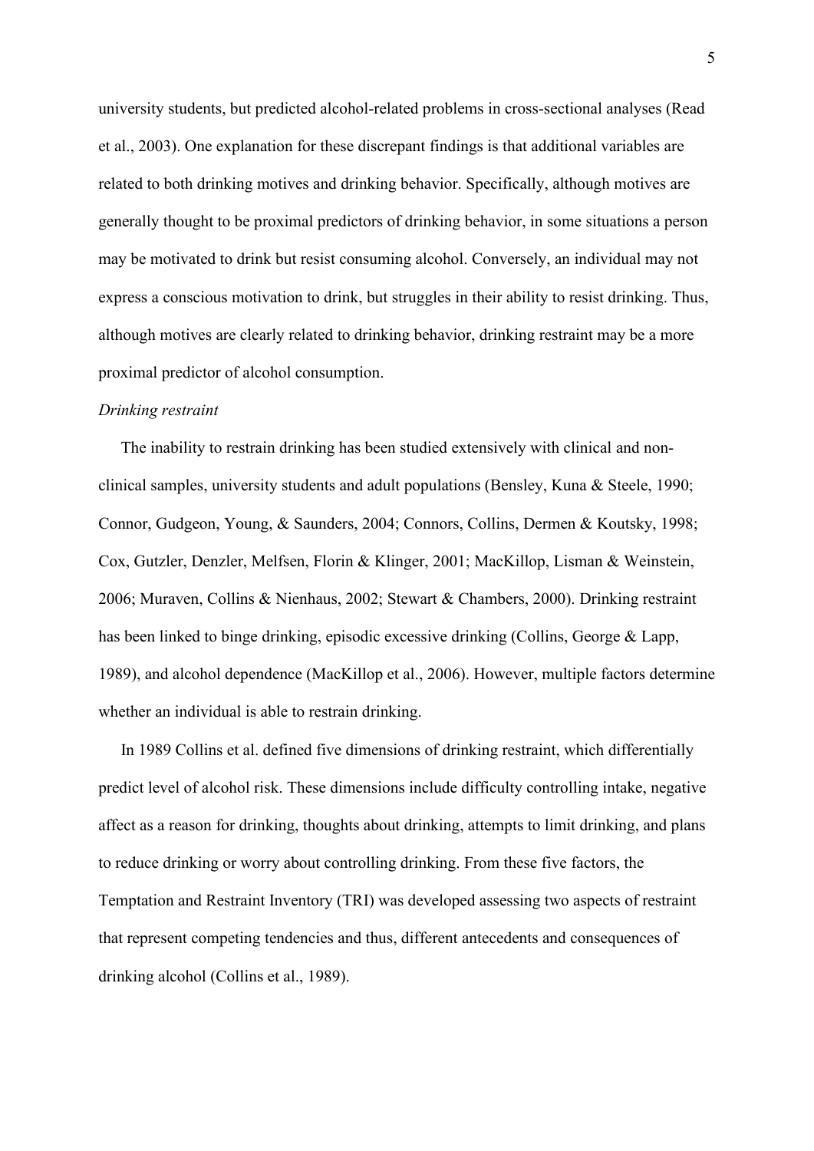university students, but predicted alcohol-related problems in cross-sectional analyses (Read et al., 2003). One explanation for these discrepant findings is that additional variables are related to both drinking motives and drinking behavior. Specifically, although motives are generally thought to be proximal predictors of drinking behavior, in some situations a person may be motivated to drink but resist consuming alcohol. Conversely, an individual may not express a conscious motivation to drink, but struggles in their ability to resist drinking. Thus, although motives are clearly related to drinking behavior, drinking restraint may be a more proximal predictor of alcohol consumption.

#### *Drinking restraint*

The inability to restrain drinking has been studied extensively with clinical and nonclinical samples, university students and adult populations (Bensley, Kuna & Steele, 1990; Connor, Gudgeon, Young, & Saunders, 2004; Connors, Collins, Dermen & Koutsky, 1998; Cox, Gutzler, Denzler, Melfsen, Florin & Klinger, 2001; MacKillop, Lisman & Weinstein, 2006; Muraven, Collins & Nienhaus, 2002; Stewart & Chambers, 2000). Drinking restraint has been linked to binge drinking, episodic excessive drinking (Collins, George & Lapp, 1989), and alcohol dependence (MacKillop et al., 2006). However, multiple factors determine whether an individual is able to restrain drinking.

In 1989 Collins et al. defined five dimensions of drinking restraint, which differentially predict level of alcohol risk. These dimensions include difficulty controlling intake, negative affect as a reason for drinking, thoughts about drinking, attempts to limit drinking, and plans to reduce drinking or worry about controlling drinking. From these five factors, the Temptation and Restraint Inventory (TRI) was developed assessing two aspects of restraint that represent competing tendencies and thus, different antecedents and consequences of drinking alcohol (Collins et al., 1989).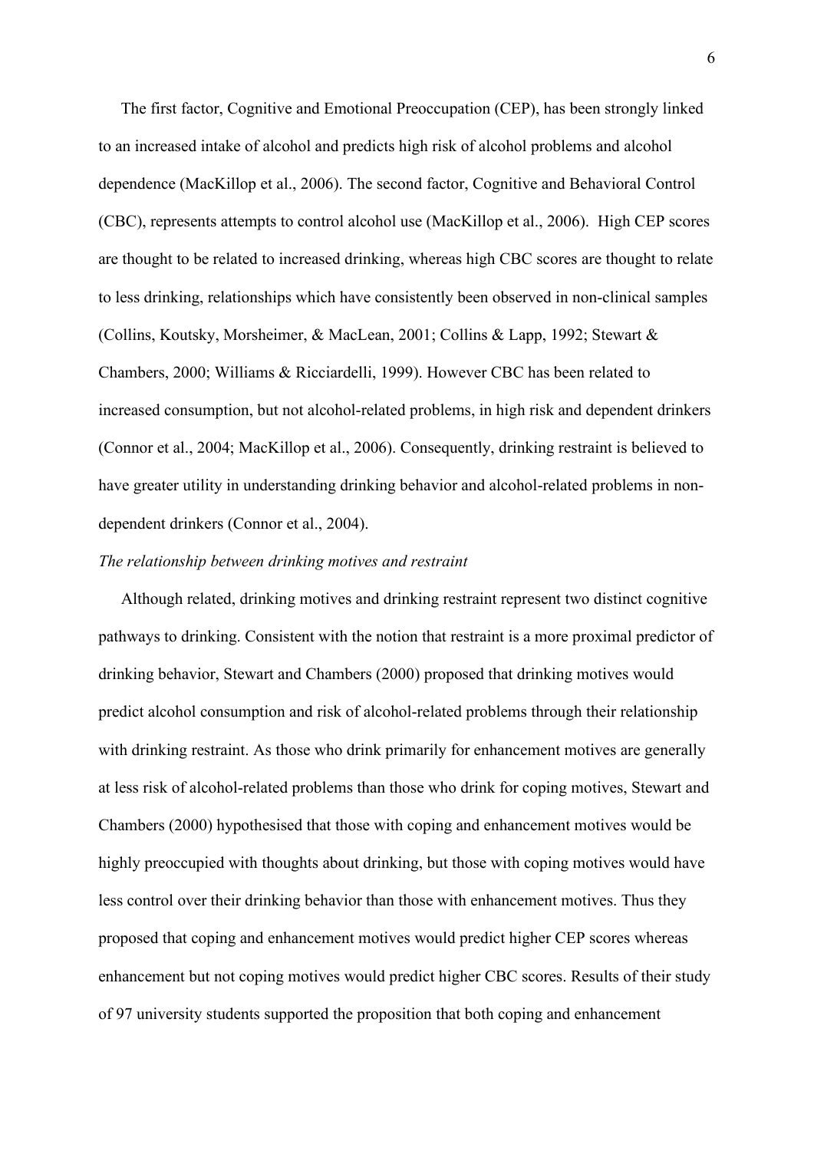The first factor, Cognitive and Emotional Preoccupation (CEP), has been strongly linked to an increased intake of alcohol and predicts high risk of alcohol problems and alcohol dependence (MacKillop et al., 2006). The second factor, Cognitive and Behavioral Control (CBC), represents attempts to control alcohol use (MacKillop et al., 2006). High CEP scores are thought to be related to increased drinking, whereas high CBC scores are thought to relate to less drinking, relationships which have consistently been observed in non-clinical samples (Collins, Koutsky, Morsheimer, & MacLean, 2001; Collins & Lapp, 1992; Stewart & Chambers, 2000; Williams & Ricciardelli, 1999). However CBC has been related to increased consumption, but not alcohol-related problems, in high risk and dependent drinkers (Connor et al., 2004; MacKillop et al., 2006). Consequently, drinking restraint is believed to have greater utility in understanding drinking behavior and alcohol-related problems in nondependent drinkers (Connor et al., 2004).

## *The relationship between drinking motives and restraint*

Although related, drinking motives and drinking restraint represent two distinct cognitive pathways to drinking. Consistent with the notion that restraint is a more proximal predictor of drinking behavior, Stewart and Chambers (2000) proposed that drinking motives would predict alcohol consumption and risk of alcohol-related problems through their relationship with drinking restraint. As those who drink primarily for enhancement motives are generally at less risk of alcohol-related problems than those who drink for coping motives, Stewart and Chambers (2000) hypothesised that those with coping and enhancement motives would be highly preoccupied with thoughts about drinking, but those with coping motives would have less control over their drinking behavior than those with enhancement motives. Thus they proposed that coping and enhancement motives would predict higher CEP scores whereas enhancement but not coping motives would predict higher CBC scores. Results of their study of 97 university students supported the proposition that both coping and enhancement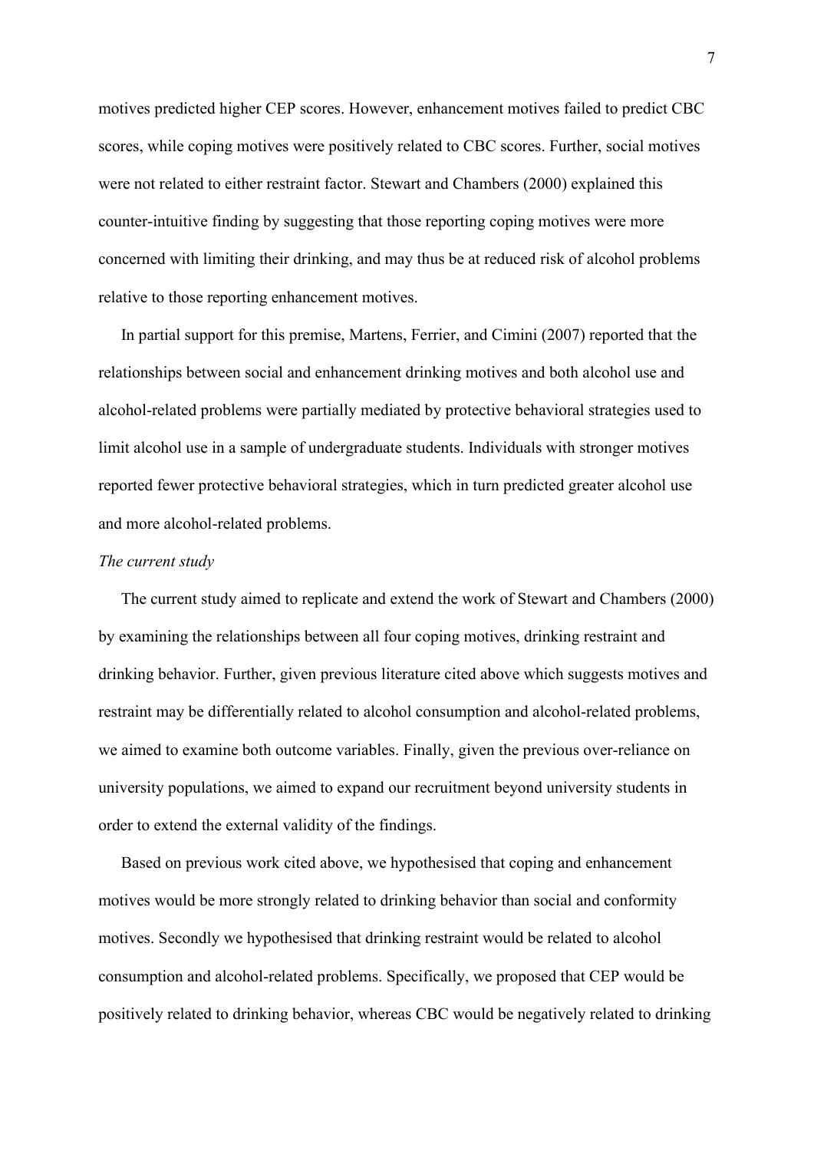motives predicted higher CEP scores. However, enhancement motives failed to predict CBC scores, while coping motives were positively related to CBC scores. Further, social motives were not related to either restraint factor. Stewart and Chambers (2000) explained this counter-intuitive finding by suggesting that those reporting coping motives were more concerned with limiting their drinking, and may thus be at reduced risk of alcohol problems relative to those reporting enhancement motives.

In partial support for this premise, Martens, Ferrier, and Cimini (2007) reported that the relationships between social and enhancement drinking motives and both alcohol use and alcohol-related problems were partially mediated by protective behavioral strategies used to limit alcohol use in a sample of undergraduate students. Individuals with stronger motives reported fewer protective behavioral strategies, which in turn predicted greater alcohol use and more alcohol-related problems.

### *The current study*

The current study aimed to replicate and extend the work of Stewart and Chambers (2000) by examining the relationships between all four coping motives, drinking restraint and drinking behavior. Further, given previous literature cited above which suggests motives and restraint may be differentially related to alcohol consumption and alcohol-related problems, we aimed to examine both outcome variables. Finally, given the previous over-reliance on university populations, we aimed to expand our recruitment beyond university students in order to extend the external validity of the findings.

Based on previous work cited above, we hypothesised that coping and enhancement motives would be more strongly related to drinking behavior than social and conformity motives. Secondly we hypothesised that drinking restraint would be related to alcohol consumption and alcohol-related problems. Specifically, we proposed that CEP would be positively related to drinking behavior, whereas CBC would be negatively related to drinking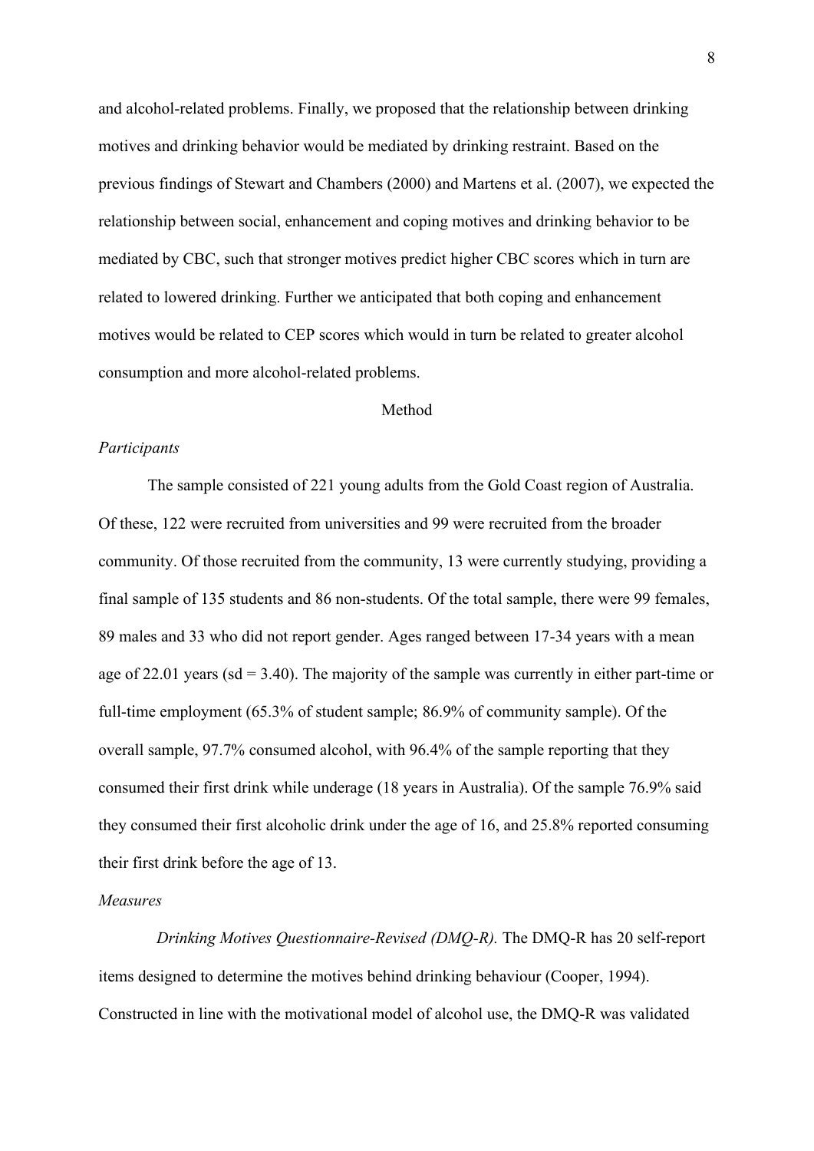and alcohol-related problems. Finally, we proposed that the relationship between drinking motives and drinking behavior would be mediated by drinking restraint. Based on the previous findings of Stewart and Chambers (2000) and Martens et al. (2007), we expected the relationship between social, enhancement and coping motives and drinking behavior to be mediated by CBC, such that stronger motives predict higher CBC scores which in turn are related to lowered drinking. Further we anticipated that both coping and enhancement motives would be related to CEP scores which would in turn be related to greater alcohol consumption and more alcohol-related problems.

## Method

### *Participants*

The sample consisted of 221 young adults from the Gold Coast region of Australia. Of these, 122 were recruited from universities and 99 were recruited from the broader community. Of those recruited from the community, 13 were currently studying, providing a final sample of 135 students and 86 non-students. Of the total sample, there were 99 females, 89 males and 33 who did not report gender. Ages ranged between 17-34 years with a mean age of 22.01 years ( $sd = 3.40$ ). The majority of the sample was currently in either part-time or full-time employment (65.3% of student sample; 86.9% of community sample). Of the overall sample, 97.7% consumed alcohol, with 96.4% of the sample reporting that they consumed their first drink while underage (18 years in Australia). Of the sample 76.9% said they consumed their first alcoholic drink under the age of 16, and 25.8% reported consuming their first drink before the age of 13.

### *Measures*

*Drinking Motives Questionnaire-Revised (DMQ-R).* The DMQ-R has 20 self-report items designed to determine the motives behind drinking behaviour (Cooper, 1994). Constructed in line with the motivational model of alcohol use, the DMQ-R was validated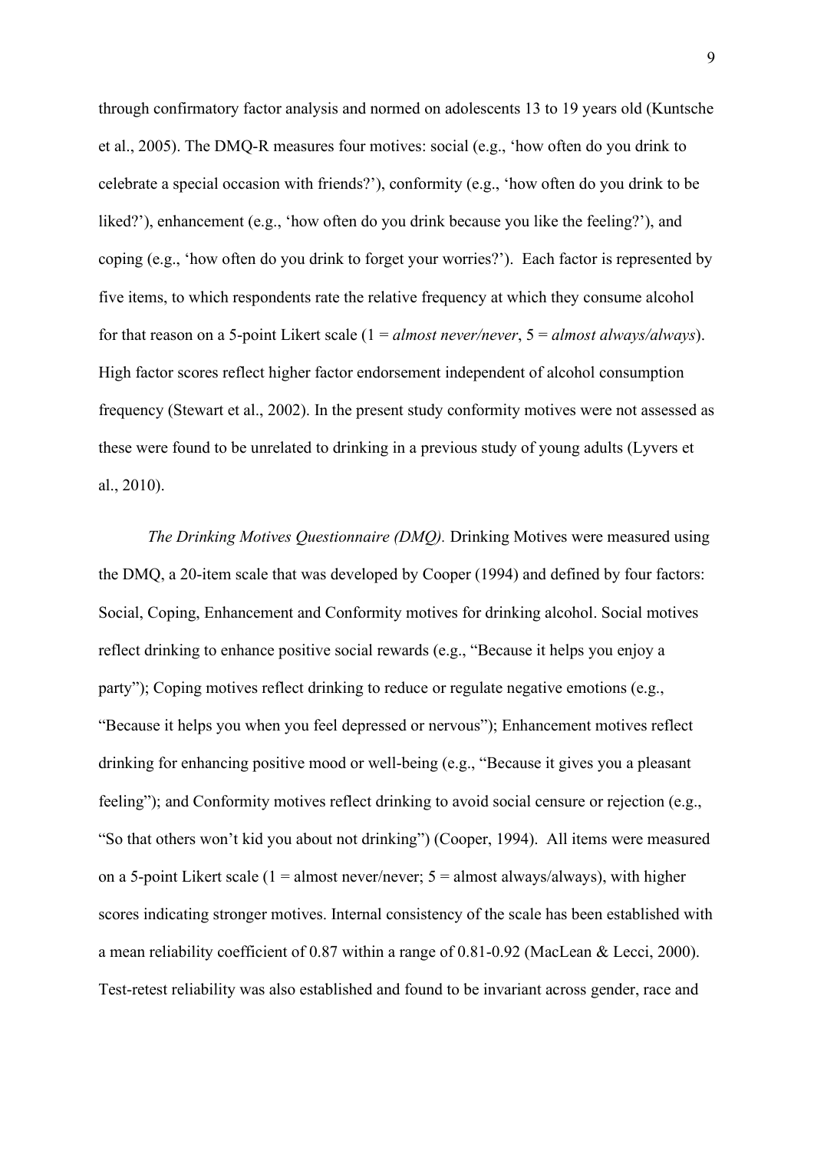through confirmatory factor analysis and normed on adolescents 13 to 19 years old (Kuntsche et al., 2005). The DMQ-R measures four motives: social (e.g., 'how often do you drink to celebrate a special occasion with friends?'), conformity (e.g., 'how often do you drink to be liked?'), enhancement (e.g., 'how often do you drink because you like the feeling?'), and coping (e.g., 'how often do you drink to forget your worries?'). Each factor is represented by five items, to which respondents rate the relative frequency at which they consume alcohol for that reason on a 5-point Likert scale (1 = *almost never/never*, 5 = *almost always/always*). High factor scores reflect higher factor endorsement independent of alcohol consumption frequency (Stewart et al., 2002). In the present study conformity motives were not assessed as these were found to be unrelated to drinking in a previous study of young adults (Lyvers et al., 2010).

*The Drinking Motives Questionnaire (DMQ).* Drinking Motives were measured using the DMQ, a 20-item scale that was developed by Cooper (1994) and defined by four factors: Social, Coping, Enhancement and Conformity motives for drinking alcohol. Social motives reflect drinking to enhance positive social rewards (e.g., "Because it helps you enjoy a party"); Coping motives reflect drinking to reduce or regulate negative emotions (e.g., "Because it helps you when you feel depressed or nervous"); Enhancement motives reflect drinking for enhancing positive mood or well-being (e.g., "Because it gives you a pleasant feeling"); and Conformity motives reflect drinking to avoid social censure or rejection (e.g., "So that others won't kid you about not drinking") (Cooper, 1994). All items were measured on a 5-point Likert scale (1 = almost never/never;  $5 =$  almost always/always), with higher scores indicating stronger motives. Internal consistency of the scale has been established with a mean reliability coefficient of 0.87 within a range of 0.81-0.92 (MacLean & Lecci, 2000). Test-retest reliability was also established and found to be invariant across gender, race and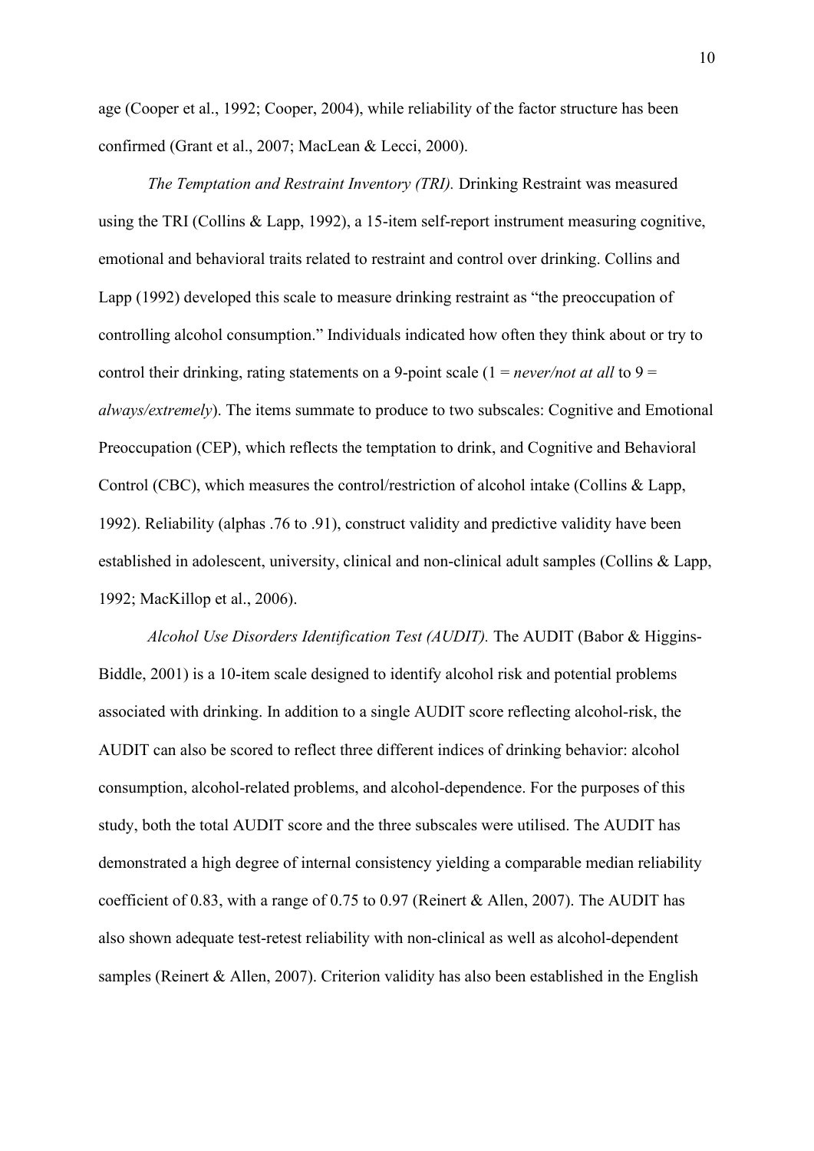age (Cooper et al., 1992; Cooper, 2004), while reliability of the factor structure has been confirmed (Grant et al., 2007; MacLean & Lecci, 2000).

*The Temptation and Restraint Inventory (TRI).* Drinking Restraint was measured using the TRI (Collins & Lapp, 1992), a 15-item self-report instrument measuring cognitive, emotional and behavioral traits related to restraint and control over drinking. Collins and Lapp (1992) developed this scale to measure drinking restraint as "the preoccupation of controlling alcohol consumption." Individuals indicated how often they think about or try to control their drinking, rating statements on a 9-point scale  $(1 = never/not at all to 9 = 1)$ *always/extremely*). The items summate to produce to two subscales: Cognitive and Emotional Preoccupation (CEP), which reflects the temptation to drink, and Cognitive and Behavioral Control (CBC), which measures the control/restriction of alcohol intake (Collins & Lapp, 1992). Reliability (alphas .76 to .91), construct validity and predictive validity have been established in adolescent, university, clinical and non-clinical adult samples (Collins & Lapp, 1992; MacKillop et al., 2006).

*Alcohol Use Disorders Identification Test (AUDIT).* The AUDIT (Babor & Higgins-Biddle, 2001) is a 10-item scale designed to identify alcohol risk and potential problems associated with drinking. In addition to a single AUDIT score reflecting alcohol-risk, the AUDIT can also be scored to reflect three different indices of drinking behavior: alcohol consumption, alcohol-related problems, and alcohol-dependence. For the purposes of this study, both the total AUDIT score and the three subscales were utilised. The AUDIT has demonstrated a high degree of internal consistency yielding a comparable median reliability coefficient of 0.83, with a range of 0.75 to 0.97 (Reinert & Allen, 2007). The AUDIT has also shown adequate test-retest reliability with non-clinical as well as alcohol-dependent samples (Reinert & Allen, 2007). Criterion validity has also been established in the English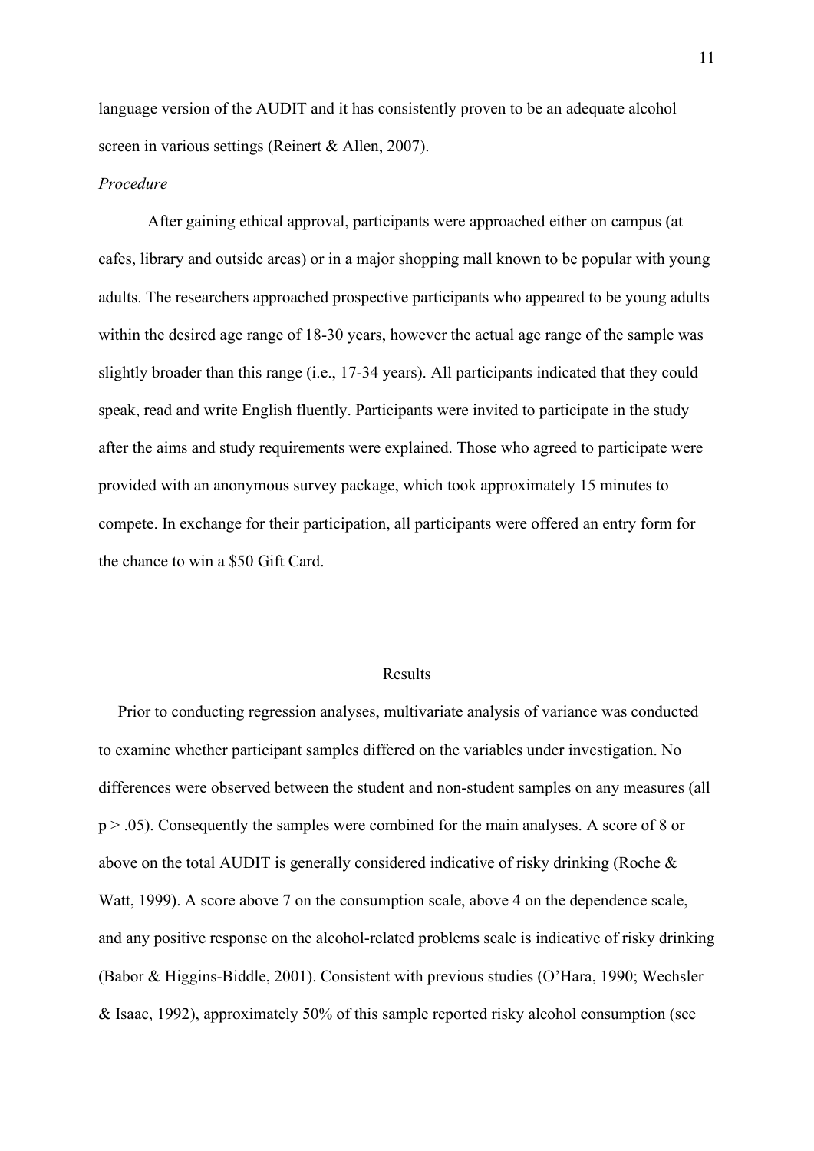language version of the AUDIT and it has consistently proven to be an adequate alcohol screen in various settings (Reinert & Allen, 2007).

### *Procedure*

After gaining ethical approval, participants were approached either on campus (at cafes, library and outside areas) or in a major shopping mall known to be popular with young adults. The researchers approached prospective participants who appeared to be young adults within the desired age range of 18-30 years, however the actual age range of the sample was slightly broader than this range (i.e., 17-34 years). All participants indicated that they could speak, read and write English fluently. Participants were invited to participate in the study after the aims and study requirements were explained. Those who agreed to participate were provided with an anonymous survey package, which took approximately 15 minutes to compete. In exchange for their participation, all participants were offered an entry form for the chance to win a \$50 Gift Card.

#### Results

Prior to conducting regression analyses, multivariate analysis of variance was conducted to examine whether participant samples differed on the variables under investigation. No differences were observed between the student and non-student samples on any measures (all p > .05). Consequently the samples were combined for the main analyses. A score of 8 or above on the total AUDIT is generally considered indicative of risky drinking (Roche & Watt, 1999). A score above 7 on the consumption scale, above 4 on the dependence scale, and any positive response on the alcohol-related problems scale is indicative of risky drinking (Babor & Higgins-Biddle, 2001). Consistent with previous studies (O'Hara, 1990; Wechsler & Isaac, 1992), approximately 50% of this sample reported risky alcohol consumption (see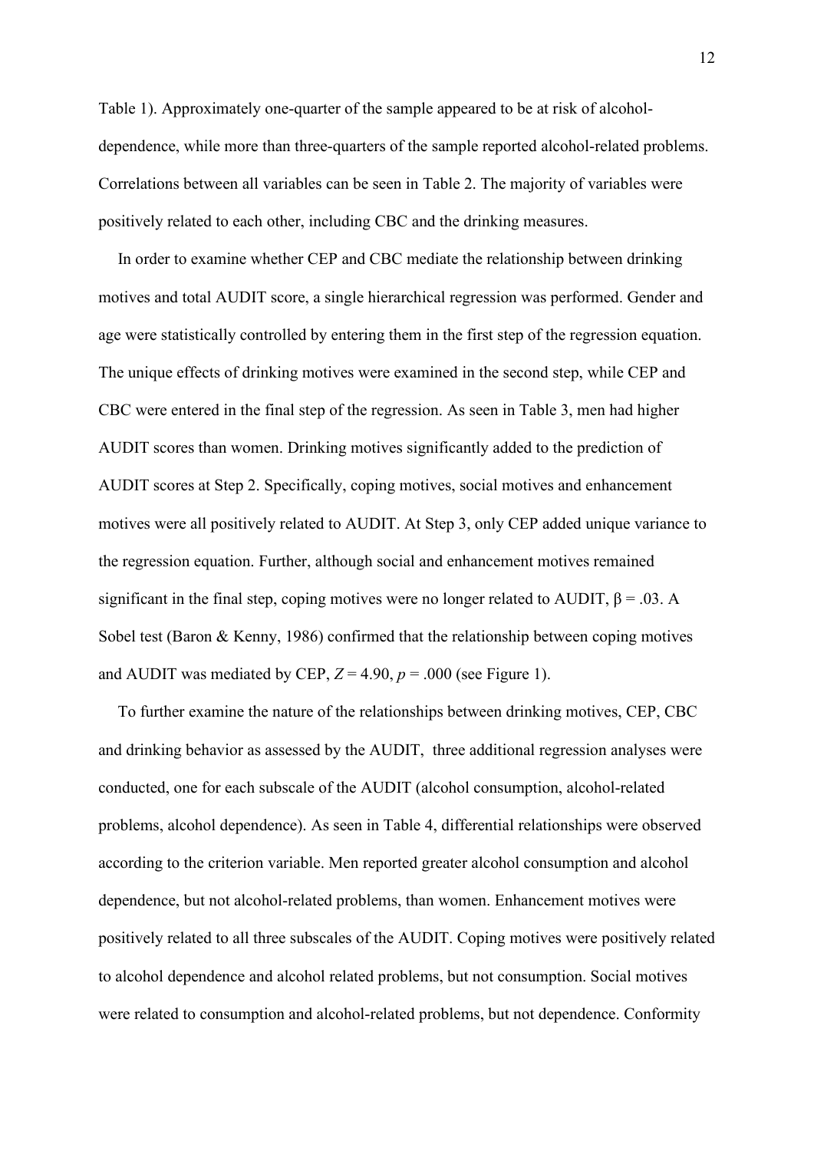Table 1). Approximately one-quarter of the sample appeared to be at risk of alcoholdependence, while more than three-quarters of the sample reported alcohol-related problems. Correlations between all variables can be seen in Table 2. The majority of variables were positively related to each other, including CBC and the drinking measures.

In order to examine whether CEP and CBC mediate the relationship between drinking motives and total AUDIT score, a single hierarchical regression was performed. Gender and age were statistically controlled by entering them in the first step of the regression equation. The unique effects of drinking motives were examined in the second step, while CEP and CBC were entered in the final step of the regression. As seen in Table 3, men had higher AUDIT scores than women. Drinking motives significantly added to the prediction of AUDIT scores at Step 2. Specifically, coping motives, social motives and enhancement motives were all positively related to AUDIT. At Step 3, only CEP added unique variance to the regression equation. Further, although social and enhancement motives remained significant in the final step, coping motives were no longer related to AUDIT,  $\beta = .03$ . A Sobel test (Baron & Kenny, 1986) confirmed that the relationship between coping motives and AUDIT was mediated by CEP,  $Z = 4.90$ ,  $p = .000$  (see Figure 1).

To further examine the nature of the relationships between drinking motives, CEP, CBC and drinking behavior as assessed by the AUDIT, three additional regression analyses were conducted, one for each subscale of the AUDIT (alcohol consumption, alcohol-related problems, alcohol dependence). As seen in Table 4, differential relationships were observed according to the criterion variable. Men reported greater alcohol consumption and alcohol dependence, but not alcohol-related problems, than women. Enhancement motives were positively related to all three subscales of the AUDIT. Coping motives were positively related to alcohol dependence and alcohol related problems, but not consumption. Social motives were related to consumption and alcohol-related problems, but not dependence. Conformity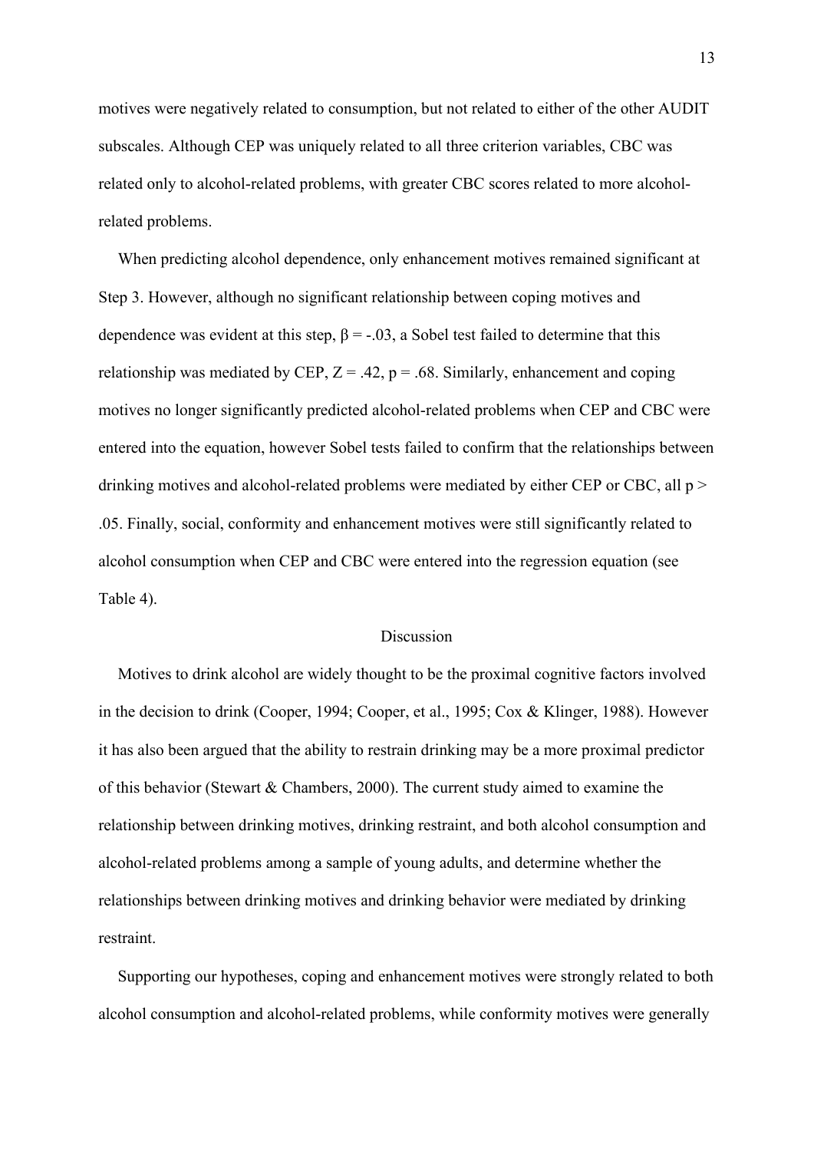motives were negatively related to consumption, but not related to either of the other AUDIT subscales. Although CEP was uniquely related to all three criterion variables, CBC was related only to alcohol-related problems, with greater CBC scores related to more alcoholrelated problems.

When predicting alcohol dependence, only enhancement motives remained significant at Step 3. However, although no significant relationship between coping motives and dependence was evident at this step,  $\beta = -0.03$ , a Sobel test failed to determine that this relationship was mediated by CEP,  $Z = .42$ ,  $p = .68$ . Similarly, enhancement and coping motives no longer significantly predicted alcohol-related problems when CEP and CBC were entered into the equation, however Sobel tests failed to confirm that the relationships between drinking motives and alcohol-related problems were mediated by either CEP or CBC, all p > .05. Finally, social, conformity and enhancement motives were still significantly related to alcohol consumption when CEP and CBC were entered into the regression equation (see Table 4).

## Discussion

Motives to drink alcohol are widely thought to be the proximal cognitive factors involved in the decision to drink (Cooper, 1994; Cooper, et al., 1995; Cox & Klinger, 1988). However it has also been argued that the ability to restrain drinking may be a more proximal predictor of this behavior (Stewart & Chambers, 2000). The current study aimed to examine the relationship between drinking motives, drinking restraint, and both alcohol consumption and alcohol-related problems among a sample of young adults, and determine whether the relationships between drinking motives and drinking behavior were mediated by drinking restraint.

Supporting our hypotheses, coping and enhancement motives were strongly related to both alcohol consumption and alcohol-related problems, while conformity motives were generally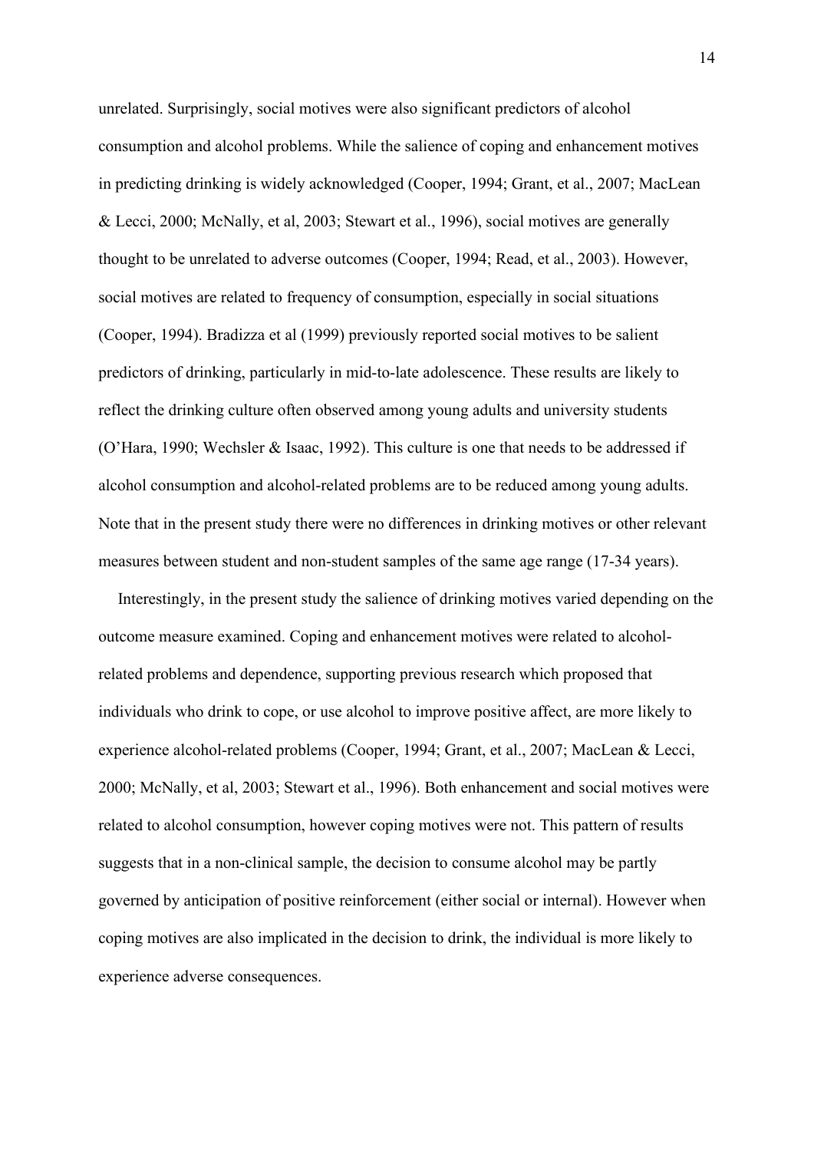unrelated. Surprisingly, social motives were also significant predictors of alcohol consumption and alcohol problems. While the salience of coping and enhancement motives in predicting drinking is widely acknowledged (Cooper, 1994; Grant, et al., 2007; MacLean & Lecci, 2000; McNally, et al, 2003; Stewart et al., 1996), social motives are generally thought to be unrelated to adverse outcomes (Cooper, 1994; Read, et al., 2003). However, social motives are related to frequency of consumption, especially in social situations (Cooper, 1994). Bradizza et al (1999) previously reported social motives to be salient predictors of drinking, particularly in mid-to-late adolescence. These results are likely to reflect the drinking culture often observed among young adults and university students (O'Hara, 1990; Wechsler & Isaac, 1992). This culture is one that needs to be addressed if alcohol consumption and alcohol-related problems are to be reduced among young adults. Note that in the present study there were no differences in drinking motives or other relevant measures between student and non-student samples of the same age range (17-34 years).

Interestingly, in the present study the salience of drinking motives varied depending on the outcome measure examined. Coping and enhancement motives were related to alcoholrelated problems and dependence, supporting previous research which proposed that individuals who drink to cope, or use alcohol to improve positive affect, are more likely to experience alcohol-related problems (Cooper, 1994; Grant, et al., 2007; MacLean & Lecci, 2000; McNally, et al, 2003; Stewart et al., 1996). Both enhancement and social motives were related to alcohol consumption, however coping motives were not. This pattern of results suggests that in a non-clinical sample, the decision to consume alcohol may be partly governed by anticipation of positive reinforcement (either social or internal). However when coping motives are also implicated in the decision to drink, the individual is more likely to experience adverse consequences.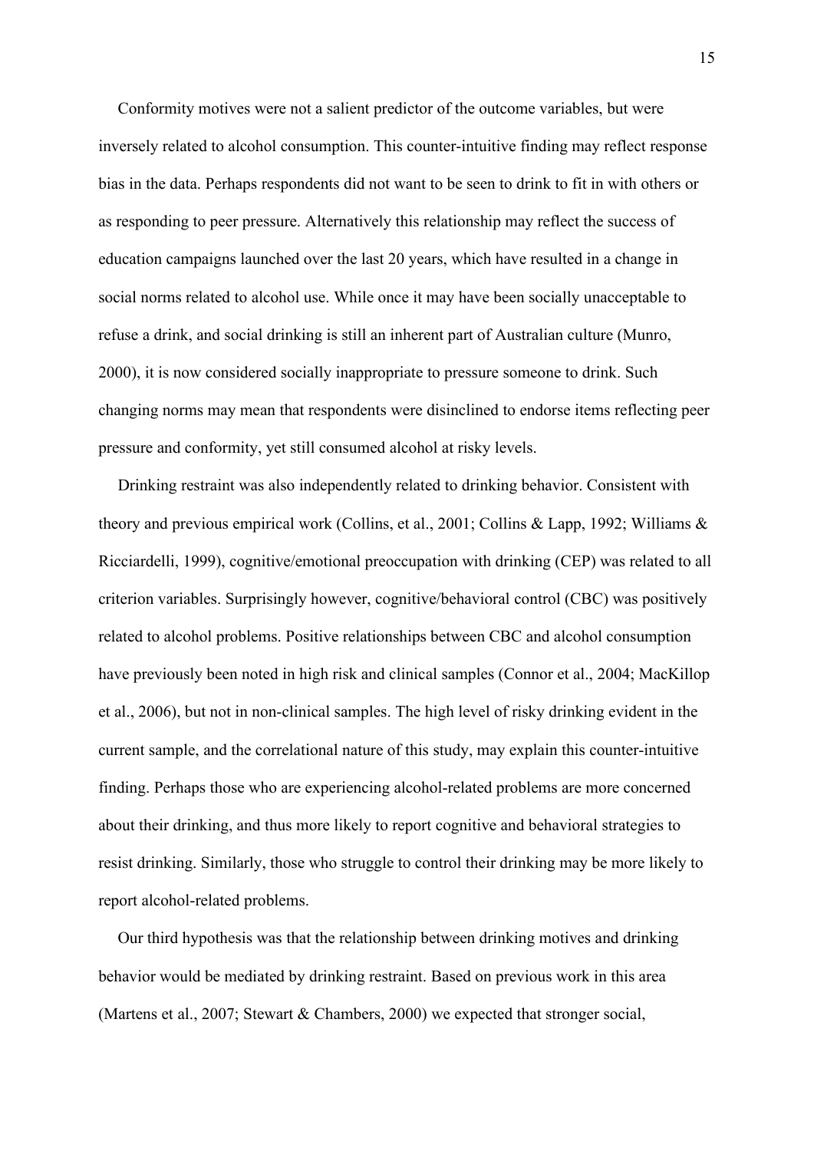Conformity motives were not a salient predictor of the outcome variables, but were inversely related to alcohol consumption. This counter-intuitive finding may reflect response bias in the data. Perhaps respondents did not want to be seen to drink to fit in with others or as responding to peer pressure. Alternatively this relationship may reflect the success of education campaigns launched over the last 20 years, which have resulted in a change in social norms related to alcohol use. While once it may have been socially unacceptable to refuse a drink, and social drinking is still an inherent part of Australian culture (Munro, 2000), it is now considered socially inappropriate to pressure someone to drink. Such changing norms may mean that respondents were disinclined to endorse items reflecting peer pressure and conformity, yet still consumed alcohol at risky levels.

Drinking restraint was also independently related to drinking behavior. Consistent with theory and previous empirical work (Collins, et al., 2001; Collins & Lapp, 1992; Williams & Ricciardelli, 1999), cognitive/emotional preoccupation with drinking (CEP) was related to all criterion variables. Surprisingly however, cognitive/behavioral control (CBC) was positively related to alcohol problems. Positive relationships between CBC and alcohol consumption have previously been noted in high risk and clinical samples (Connor et al., 2004; MacKillop et al., 2006), but not in non-clinical samples. The high level of risky drinking evident in the current sample, and the correlational nature of this study, may explain this counter-intuitive finding. Perhaps those who are experiencing alcohol-related problems are more concerned about their drinking, and thus more likely to report cognitive and behavioral strategies to resist drinking. Similarly, those who struggle to control their drinking may be more likely to report alcohol-related problems.

Our third hypothesis was that the relationship between drinking motives and drinking behavior would be mediated by drinking restraint. Based on previous work in this area (Martens et al., 2007; Stewart & Chambers, 2000) we expected that stronger social,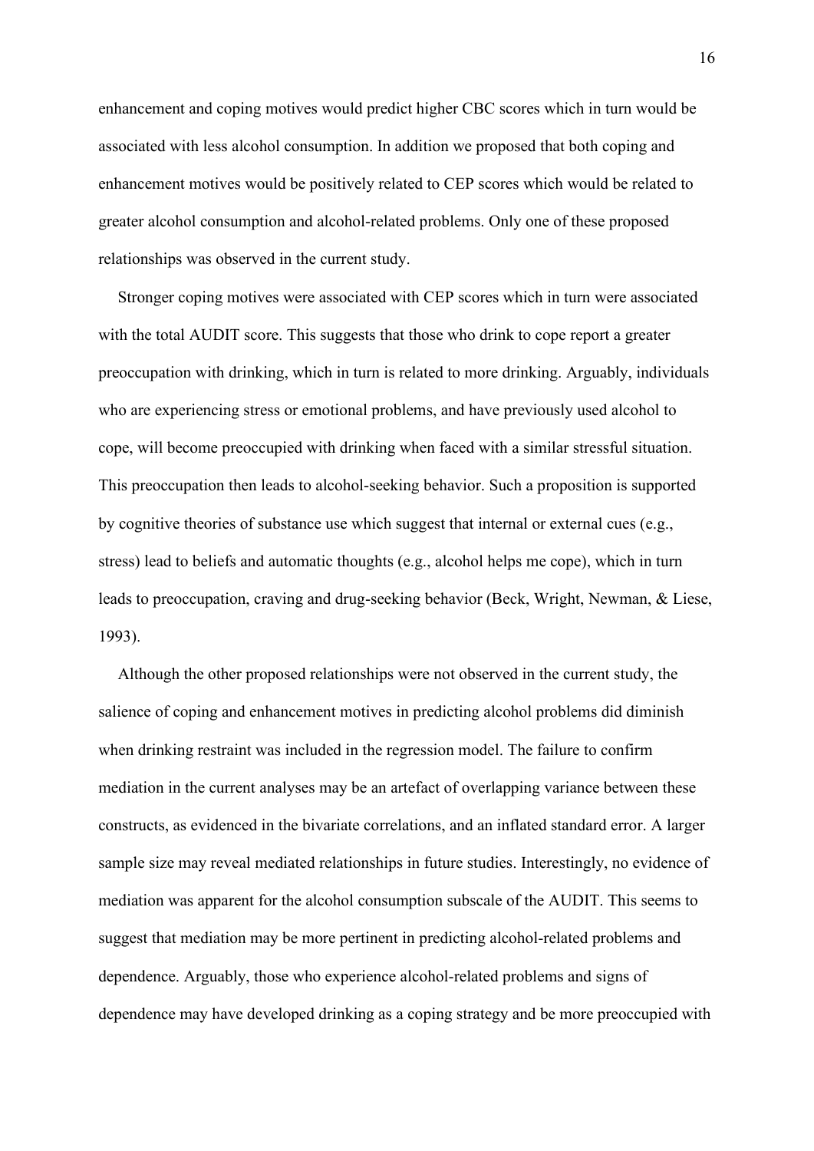enhancement and coping motives would predict higher CBC scores which in turn would be associated with less alcohol consumption. In addition we proposed that both coping and enhancement motives would be positively related to CEP scores which would be related to greater alcohol consumption and alcohol-related problems. Only one of these proposed relationships was observed in the current study.

Stronger coping motives were associated with CEP scores which in turn were associated with the total AUDIT score. This suggests that those who drink to cope report a greater preoccupation with drinking, which in turn is related to more drinking. Arguably, individuals who are experiencing stress or emotional problems, and have previously used alcohol to cope, will become preoccupied with drinking when faced with a similar stressful situation. This preoccupation then leads to alcohol-seeking behavior. Such a proposition is supported by cognitive theories of substance use which suggest that internal or external cues (e.g., stress) lead to beliefs and automatic thoughts (e.g., alcohol helps me cope), which in turn leads to preoccupation, craving and drug-seeking behavior (Beck, Wright, Newman, & Liese, 1993).

Although the other proposed relationships were not observed in the current study, the salience of coping and enhancement motives in predicting alcohol problems did diminish when drinking restraint was included in the regression model. The failure to confirm mediation in the current analyses may be an artefact of overlapping variance between these constructs, as evidenced in the bivariate correlations, and an inflated standard error. A larger sample size may reveal mediated relationships in future studies. Interestingly, no evidence of mediation was apparent for the alcohol consumption subscale of the AUDIT. This seems to suggest that mediation may be more pertinent in predicting alcohol-related problems and dependence. Arguably, those who experience alcohol-related problems and signs of dependence may have developed drinking as a coping strategy and be more preoccupied with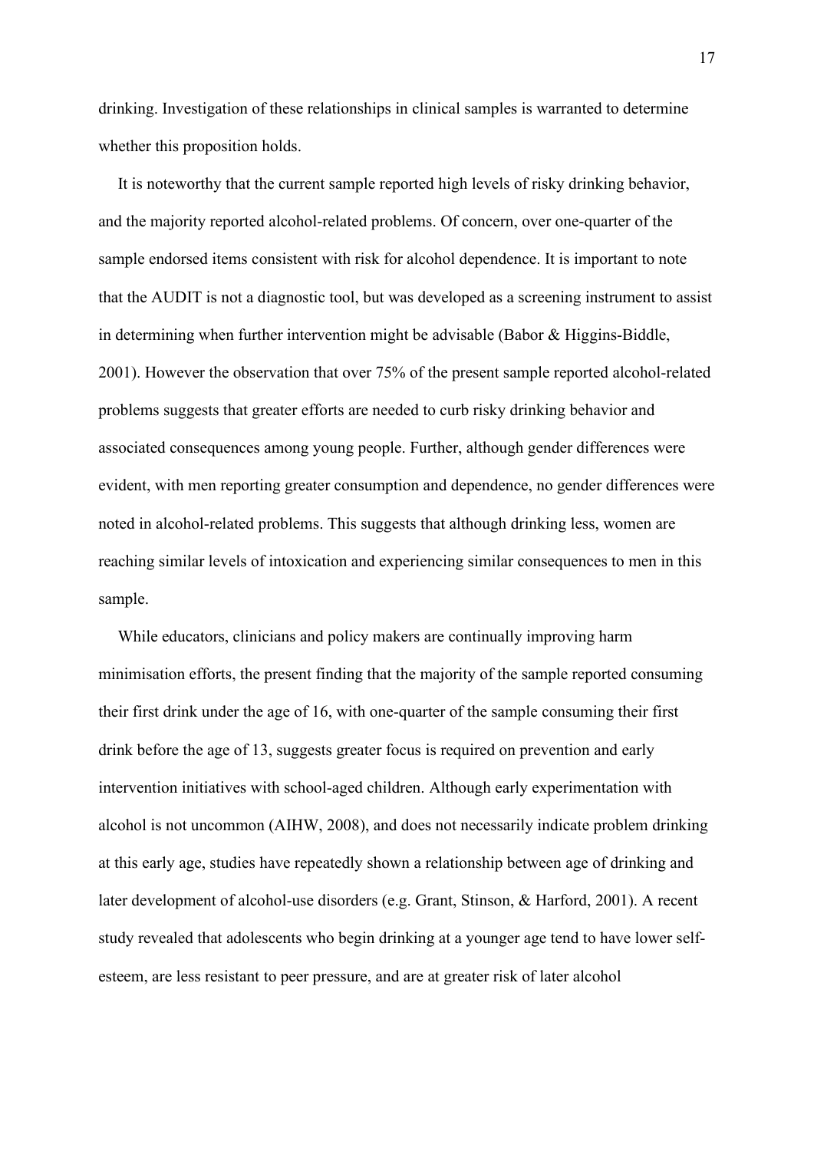drinking. Investigation of these relationships in clinical samples is warranted to determine whether this proposition holds.

It is noteworthy that the current sample reported high levels of risky drinking behavior, and the majority reported alcohol-related problems. Of concern, over one-quarter of the sample endorsed items consistent with risk for alcohol dependence. It is important to note that the AUDIT is not a diagnostic tool, but was developed as a screening instrument to assist in determining when further intervention might be advisable (Babor & Higgins-Biddle, 2001). However the observation that over 75% of the present sample reported alcohol-related problems suggests that greater efforts are needed to curb risky drinking behavior and associated consequences among young people. Further, although gender differences were evident, with men reporting greater consumption and dependence, no gender differences were noted in alcohol-related problems. This suggests that although drinking less, women are reaching similar levels of intoxication and experiencing similar consequences to men in this sample.

While educators, clinicians and policy makers are continually improving harm minimisation efforts, the present finding that the majority of the sample reported consuming their first drink under the age of 16, with one-quarter of the sample consuming their first drink before the age of 13, suggests greater focus is required on prevention and early intervention initiatives with school-aged children. Although early experimentation with alcohol is not uncommon (AIHW, 2008), and does not necessarily indicate problem drinking at this early age, studies have repeatedly shown a relationship between age of drinking and later development of alcohol-use disorders (e.g. Grant, Stinson, & Harford, 2001). A recent study revealed that adolescents who begin drinking at a younger age tend to have lower selfesteem, are less resistant to peer pressure, and are at greater risk of later alcohol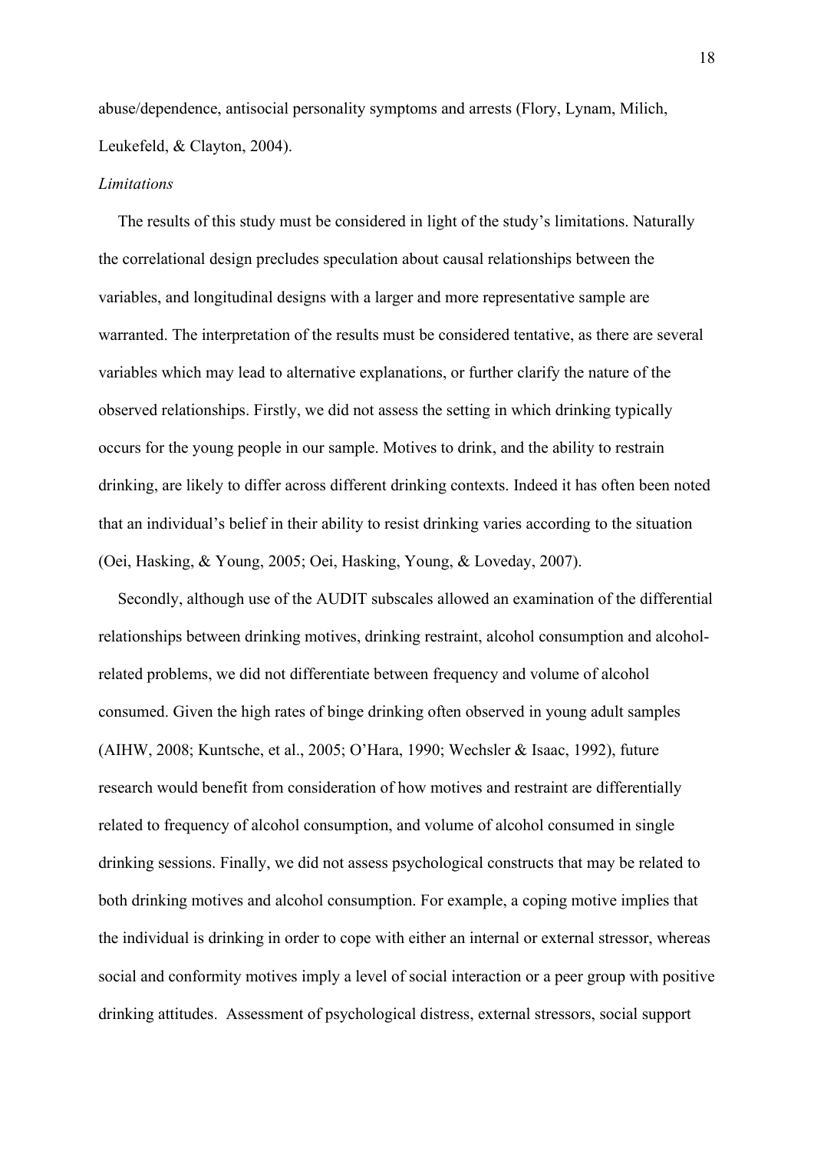abuse/dependence, antisocial personality symptoms and arrests (Flory, Lynam, Milich, Leukefeld, & Clayton, 2004).

#### *Limitations*

The results of this study must be considered in light of the study's limitations. Naturally the correlational design precludes speculation about causal relationships between the variables, and longitudinal designs with a larger and more representative sample are warranted. The interpretation of the results must be considered tentative, as there are several variables which may lead to alternative explanations, or further clarify the nature of the observed relationships. Firstly, we did not assess the setting in which drinking typically occurs for the young people in our sample. Motives to drink, and the ability to restrain drinking, are likely to differ across different drinking contexts. Indeed it has often been noted that an individual's belief in their ability to resist drinking varies according to the situation (Oei, Hasking, & Young, 2005; Oei, Hasking, Young, & Loveday, 2007).

Secondly, although use of the AUDIT subscales allowed an examination of the differential relationships between drinking motives, drinking restraint, alcohol consumption and alcoholrelated problems, we did not differentiate between frequency and volume of alcohol consumed. Given the high rates of binge drinking often observed in young adult samples (AIHW, 2008; Kuntsche, et al., 2005; O'Hara, 1990; Wechsler & Isaac, 1992), future research would benefit from consideration of how motives and restraint are differentially related to frequency of alcohol consumption, and volume of alcohol consumed in single drinking sessions. Finally, we did not assess psychological constructs that may be related to both drinking motives and alcohol consumption. For example, a coping motive implies that the individual is drinking in order to cope with either an internal or external stressor, whereas social and conformity motives imply a level of social interaction or a peer group with positive drinking attitudes. Assessment of psychological distress, external stressors, social support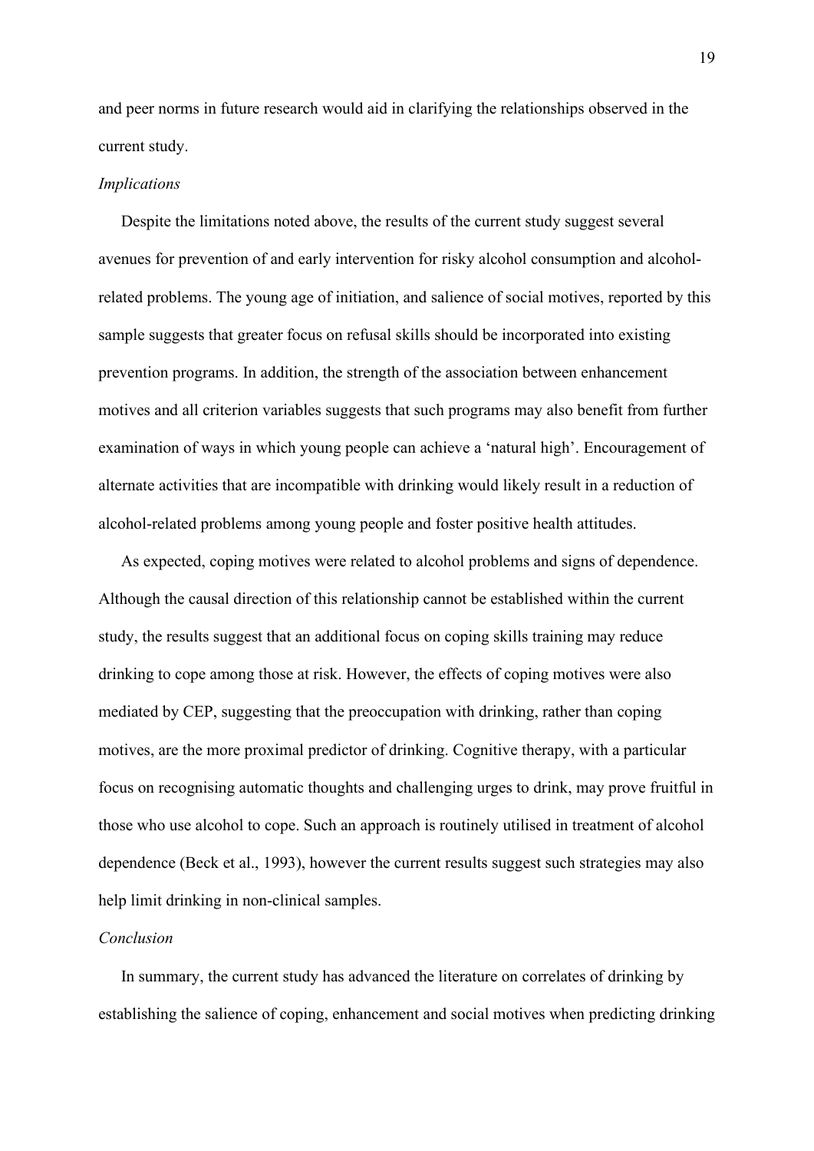and peer norms in future research would aid in clarifying the relationships observed in the current study.

## *Implications*

Despite the limitations noted above, the results of the current study suggest several avenues for prevention of and early intervention for risky alcohol consumption and alcoholrelated problems. The young age of initiation, and salience of social motives, reported by this sample suggests that greater focus on refusal skills should be incorporated into existing prevention programs. In addition, the strength of the association between enhancement motives and all criterion variables suggests that such programs may also benefit from further examination of ways in which young people can achieve a 'natural high'. Encouragement of alternate activities that are incompatible with drinking would likely result in a reduction of alcohol-related problems among young people and foster positive health attitudes.

As expected, coping motives were related to alcohol problems and signs of dependence. Although the causal direction of this relationship cannot be established within the current study, the results suggest that an additional focus on coping skills training may reduce drinking to cope among those at risk. However, the effects of coping motives were also mediated by CEP, suggesting that the preoccupation with drinking, rather than coping motives, are the more proximal predictor of drinking. Cognitive therapy, with a particular focus on recognising automatic thoughts and challenging urges to drink, may prove fruitful in those who use alcohol to cope. Such an approach is routinely utilised in treatment of alcohol dependence (Beck et al., 1993), however the current results suggest such strategies may also help limit drinking in non-clinical samples.

## *Conclusion*

In summary, the current study has advanced the literature on correlates of drinking by establishing the salience of coping, enhancement and social motives when predicting drinking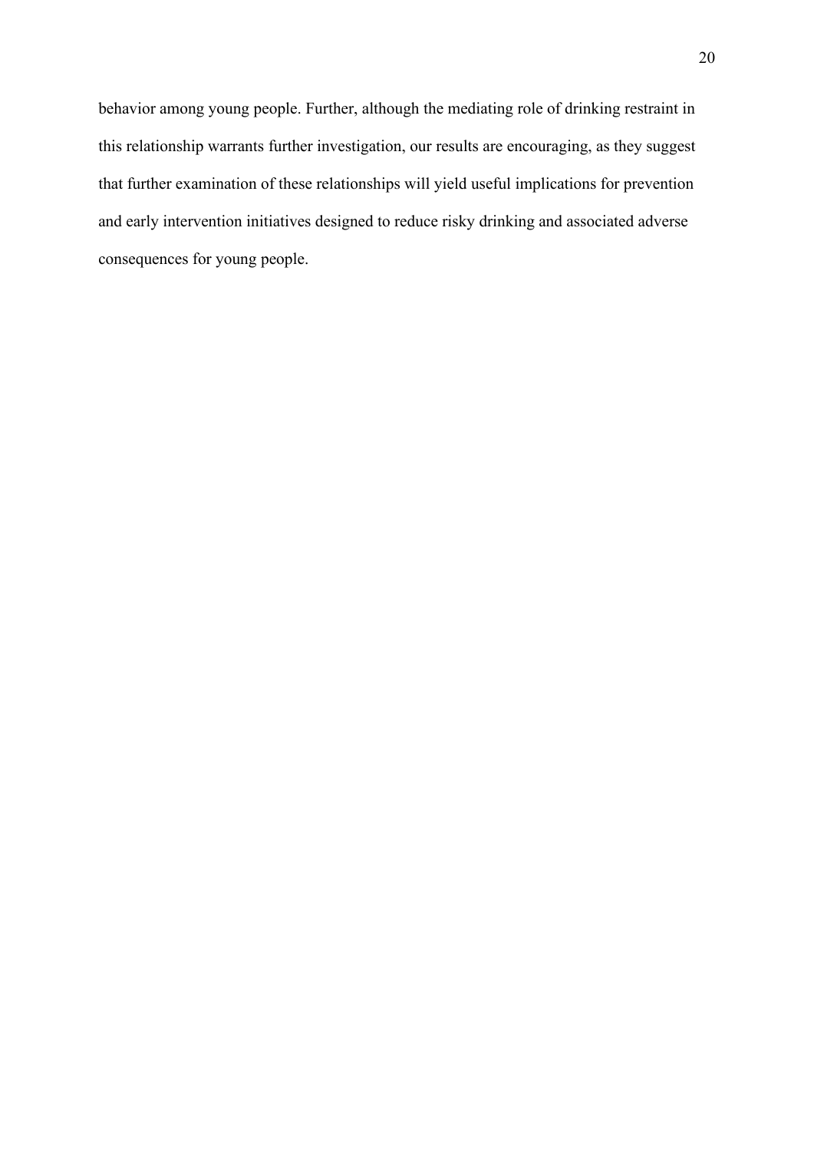behavior among young people. Further, although the mediating role of drinking restraint in this relationship warrants further investigation, our results are encouraging, as they suggest that further examination of these relationships will yield useful implications for prevention and early intervention initiatives designed to reduce risky drinking and associated adverse consequences for young people.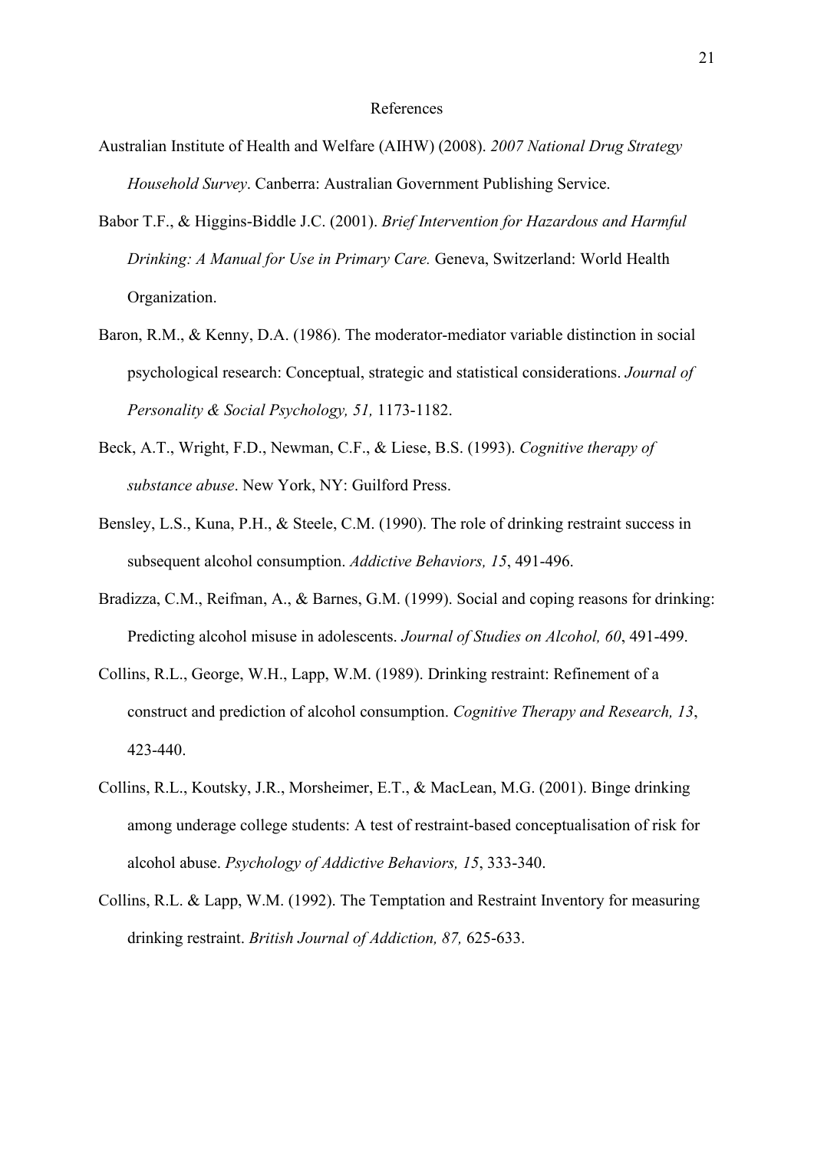#### References

- Australian Institute of Health and Welfare (AIHW) (2008). *2007 National Drug Strategy Household Survey*. Canberra: Australian Government Publishing Service.
- Babor T.F., & Higgins-Biddle J.C. (2001). *Brief Intervention for Hazardous and Harmful Drinking: A Manual for Use in Primary Care.* Geneva, Switzerland: World Health Organization.
- Baron, R.M., & Kenny, D.A. (1986). The moderator-mediator variable distinction in social psychological research: Conceptual, strategic and statistical considerations. *Journal of Personality & Social Psychology, 51,* 1173-1182.
- Beck, A.T., Wright, F.D., Newman, C.F., & Liese, B.S. (1993). *Cognitive therapy of substance abuse*. New York, NY: Guilford Press.
- Bensley, L.S., Kuna, P.H., & Steele, C.M. (1990). The role of drinking restraint success in subsequent alcohol consumption. *Addictive Behaviors, 15*, 491-496.
- Bradizza, C.M., Reifman, A., & Barnes, G.M. (1999). Social and coping reasons for drinking: Predicting alcohol misuse in adolescents. *Journal of Studies on Alcohol, 60*, 491-499.
- Collins, R.L., George, W.H., Lapp, W.M. (1989). Drinking restraint: Refinement of a construct and prediction of alcohol consumption. *Cognitive Therapy and Research, 13*, 423-440.
- Collins, R.L., Koutsky, J.R., Morsheimer, E.T., & MacLean, M.G. (2001). Binge drinking among underage college students: A test of restraint-based conceptualisation of risk for alcohol abuse. *Psychology of Addictive Behaviors, 15*, 333-340.
- Collins, R.L. & Lapp, W.M. (1992). The Temptation and Restraint Inventory for measuring drinking restraint. *British Journal of Addiction, 87,* 625-633.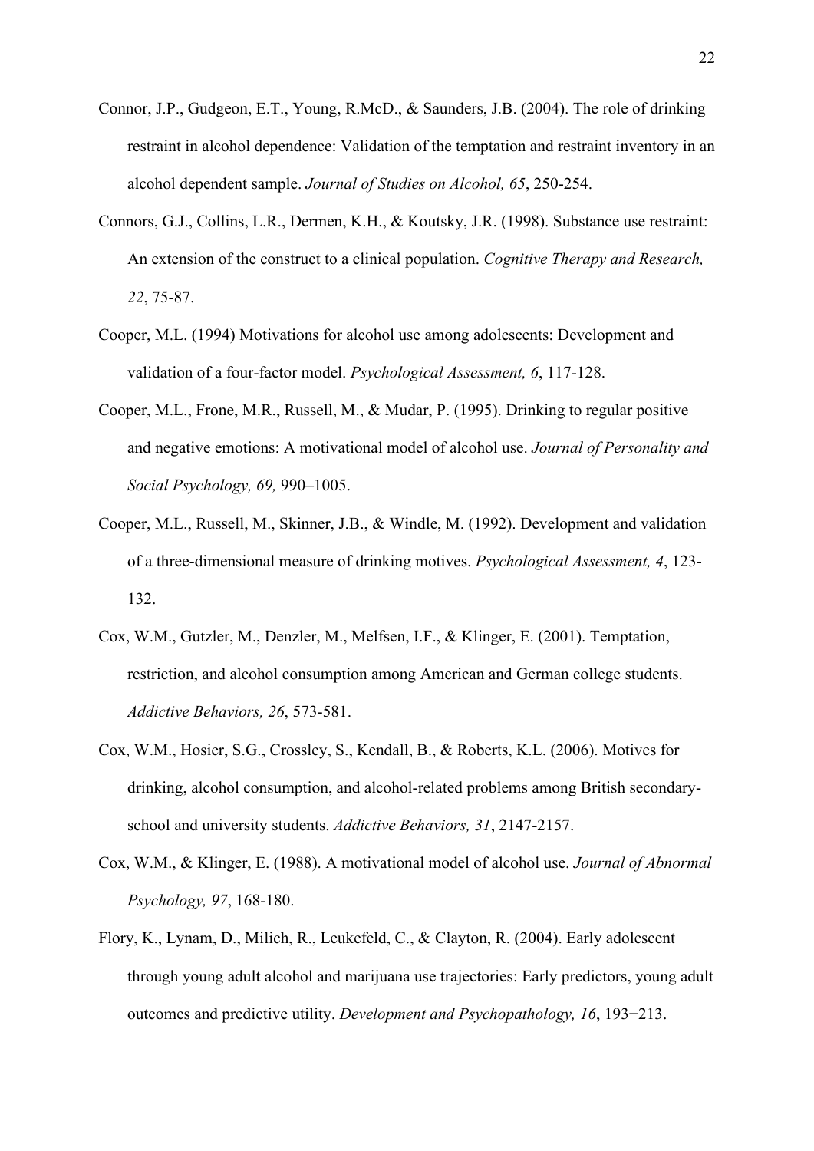- Connor, J.P., Gudgeon, E.T., Young, R.McD., & Saunders, J.B. (2004). The role of drinking restraint in alcohol dependence: Validation of the temptation and restraint inventory in an alcohol dependent sample. *Journal of Studies on Alcohol, 65*, 250-254.
- Connors, G.J., Collins, L.R., Dermen, K.H., & Koutsky, J.R. (1998). Substance use restraint: An extension of the construct to a clinical population. *Cognitive Therapy and Research, 22*, 75-87.
- Cooper, M.L. (1994) Motivations for alcohol use among adolescents: Development and validation of a four-factor model. *Psychological Assessment, 6*, 117-128.
- Cooper, M.L., Frone, M.R., Russell, M., & Mudar, P. (1995). Drinking to regular positive and negative emotions: A motivational model of alcohol use. *Journal of Personality and Social Psychology, 69,* 990–1005.
- Cooper, M.L., Russell, M., Skinner, J.B., & Windle, M. (1992). Development and validation of a three-dimensional measure of drinking motives. *Psychological Assessment, 4*, 123- 132.
- Cox, W.M., Gutzler, M., Denzler, M., Melfsen, I.F., & Klinger, E. (2001). Temptation, restriction, and alcohol consumption among American and German college students. *Addictive Behaviors, 26*, 573-581.
- Cox, W.M., Hosier, S.G., Crossley, S., Kendall, B., & Roberts, K.L. (2006). Motives for drinking, alcohol consumption, and alcohol-related problems among British secondaryschool and university students. *Addictive Behaviors, 31*, 2147-2157.
- Cox, W.M., & Klinger, E. (1988). A motivational model of alcohol use. *Journal of Abnormal Psychology, 97*, 168-180.
- Flory, K., Lynam, D., Milich, R., Leukefeld, C., & Clayton, R. (2004). Early adolescent through young adult alcohol and marijuana use trajectories: Early predictors, young adult outcomes and predictive utility. *Development and Psychopathology, 16*, 193−213.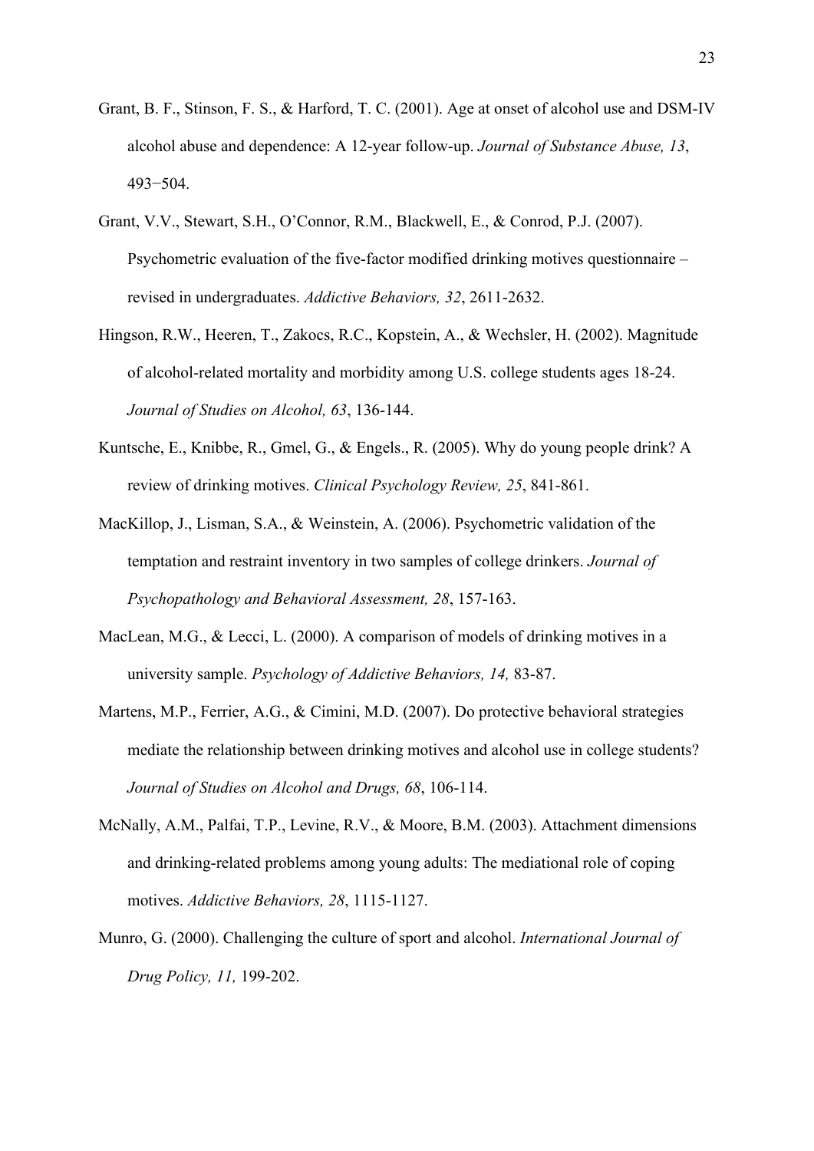- Grant, B. F., Stinson, F. S., & Harford, T. C. (2001). Age at onset of alcohol use and DSM-IV alcohol abuse and dependence: A 12-year follow-up. *Journal of Substance Abuse, 13*, 493−504.
- Grant, V.V., Stewart, S.H., O'Connor, R.M., Blackwell, E., & Conrod, P.J. (2007). Psychometric evaluation of the five-factor modified drinking motives questionnaire – revised in undergraduates. *Addictive Behaviors, 32*, 2611-2632.
- Hingson, R.W., Heeren, T., Zakocs, R.C., Kopstein, A., & Wechsler, H. (2002). Magnitude of alcohol-related mortality and morbidity among U.S. college students ages 18-24. *Journal of Studies on Alcohol, 63*, 136-144.
- Kuntsche, E., Knibbe, R., Gmel, G., & Engels., R. (2005). Why do young people drink? A review of drinking motives. *Clinical Psychology Review, 25*, 841-861.
- MacKillop, J., Lisman, S.A., & Weinstein, A. (2006). Psychometric validation of the temptation and restraint inventory in two samples of college drinkers. *Journal of Psychopathology and Behavioral Assessment, 28*, 157-163.
- MacLean, M.G., & Lecci, L. (2000). A comparison of models of drinking motives in a university sample. *Psychology of Addictive Behaviors, 14,* 83-87.
- Martens, M.P., Ferrier, A.G., & Cimini, M.D. (2007). Do protective behavioral strategies mediate the relationship between drinking motives and alcohol use in college students? *Journal of Studies on Alcohol and Drugs, 68*, 106-114.
- McNally, A.M., Palfai, T.P., Levine, R.V., & Moore, B.M. (2003). Attachment dimensions and drinking-related problems among young adults: The mediational role of coping motives. *Addictive Behaviors, 28*, 1115-1127.
- Munro, G. (2000). Challenging the culture of sport and alcohol. *International Journal of Drug Policy, 11,* 199-202.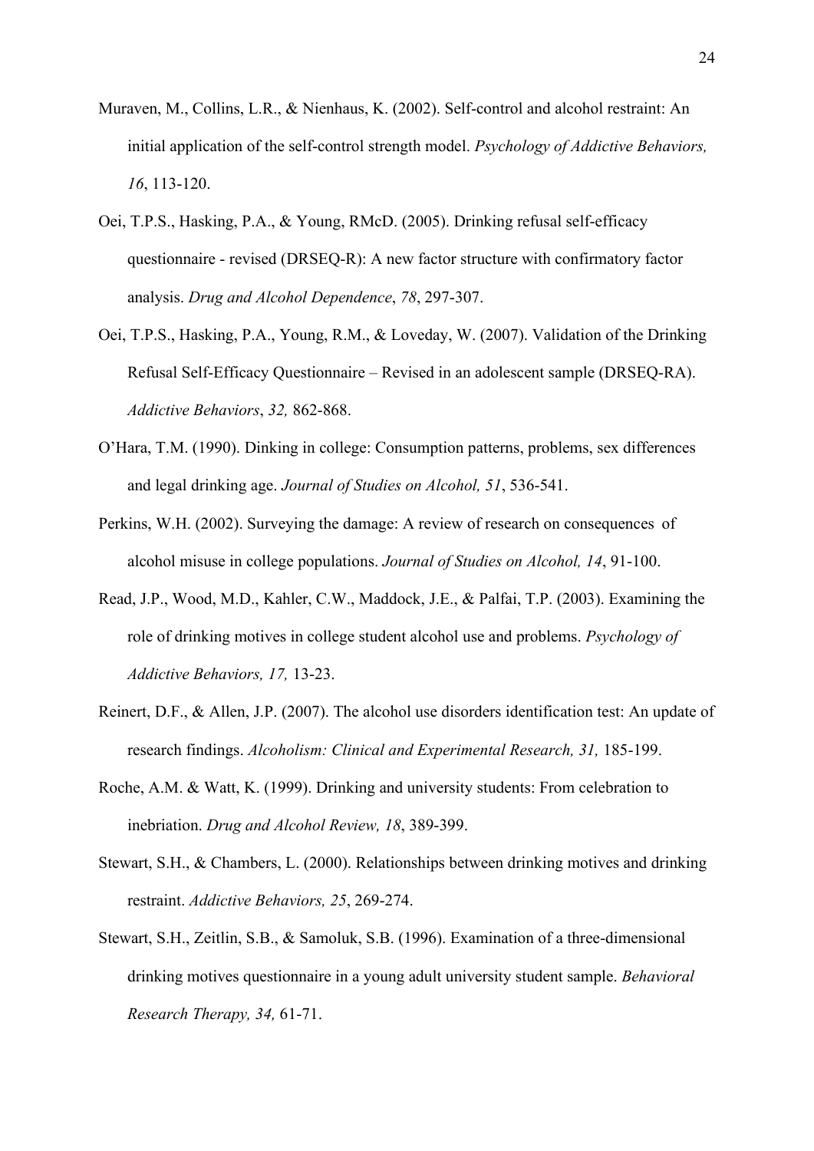- Muraven, M., Collins, L.R., & Nienhaus, K. (2002). Self-control and alcohol restraint: An initial application of the self-control strength model. *Psychology of Addictive Behaviors, 16*, 113-120.
- Oei, T.P.S., Hasking, P.A., & Young, RMcD. (2005). Drinking refusal self-efficacy questionnaire - revised (DRSEQ-R): A new factor structure with confirmatory factor analysis. *Drug and Alcohol Dependence*, *78*, 297-307.
- Oei, T.P.S., Hasking, P.A., Young, R.M., & Loveday, W. (2007). Validation of the Drinking Refusal Self-Efficacy Questionnaire – Revised in an adolescent sample (DRSEQ-RA). *Addictive Behaviors*, *32,* 862-868.
- O'Hara, T.M. (1990). Dinking in college: Consumption patterns, problems, sex differences and legal drinking age. *Journal of Studies on Alcohol, 51*, 536-541.
- Perkins, W.H. (2002). Surveying the damage: A review of research on consequences of alcohol misuse in college populations. *Journal of Studies on Alcohol, 14*, 91-100.
- Read, J.P., Wood, M.D., Kahler, C.W., Maddock, J.E., & Palfai, T.P. (2003). Examining the role of drinking motives in college student alcohol use and problems. *Psychology of Addictive Behaviors, 17,* 13-23.
- Reinert, D.F., & Allen, J.P. (2007). The alcohol use disorders identification test: An update of research findings. *Alcoholism: Clinical and Experimental Research, 31,* 185-199.
- Roche, A.M. & Watt, K. (1999). Drinking and university students: From celebration to inebriation. *Drug and Alcohol Review, 18*, 389-399.
- Stewart, S.H., & Chambers, L. (2000). Relationships between drinking motives and drinking restraint. *Addictive Behaviors, 25*, 269-274.
- Stewart, S.H., Zeitlin, S.B., & Samoluk, S.B. (1996). Examination of a three-dimensional drinking motives questionnaire in a young adult university student sample. *Behavioral Research Therapy, 34,* 61-71.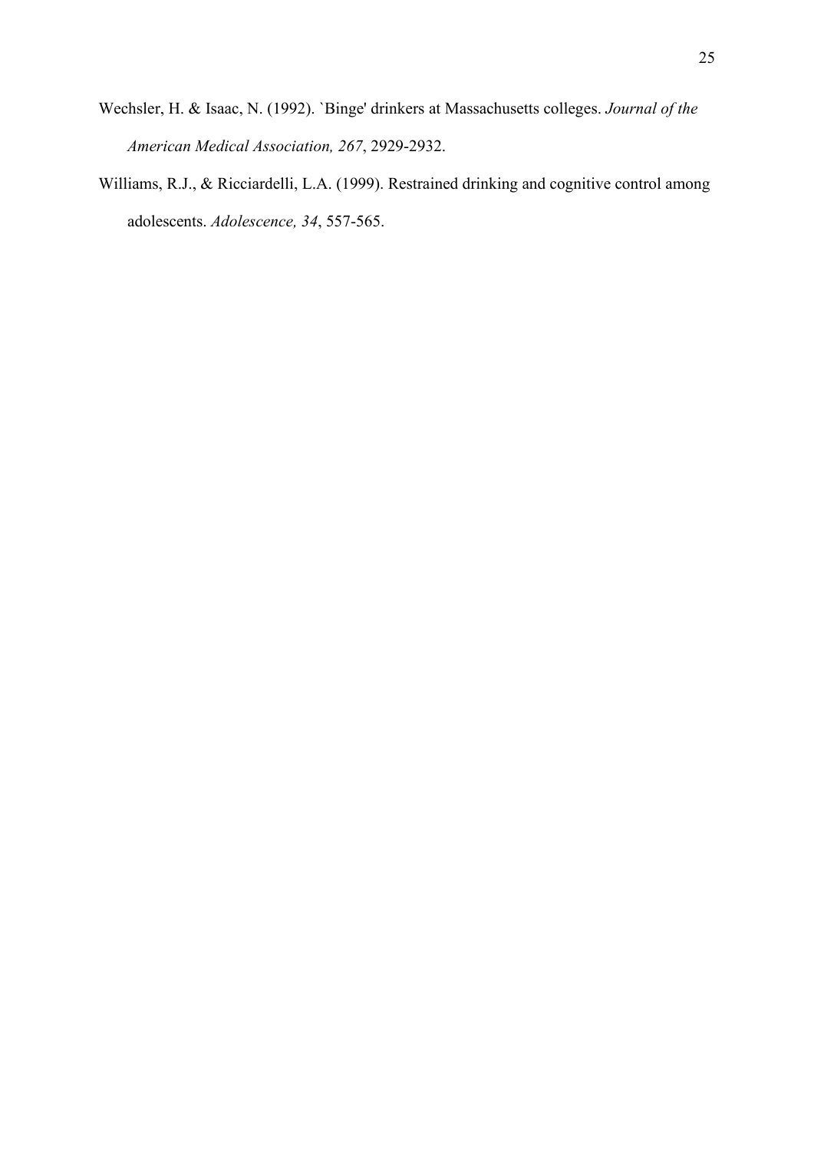- Wechsler, H. & Isaac, N. (1992). `Binge' drinkers at Massachusetts colleges. *Journal of the American Medical Association, 267*, 2929-2932.
- Williams, R.J., & Ricciardelli, L.A. (1999). Restrained drinking and cognitive control among adolescents. *Adolescence, 34*, 557-565.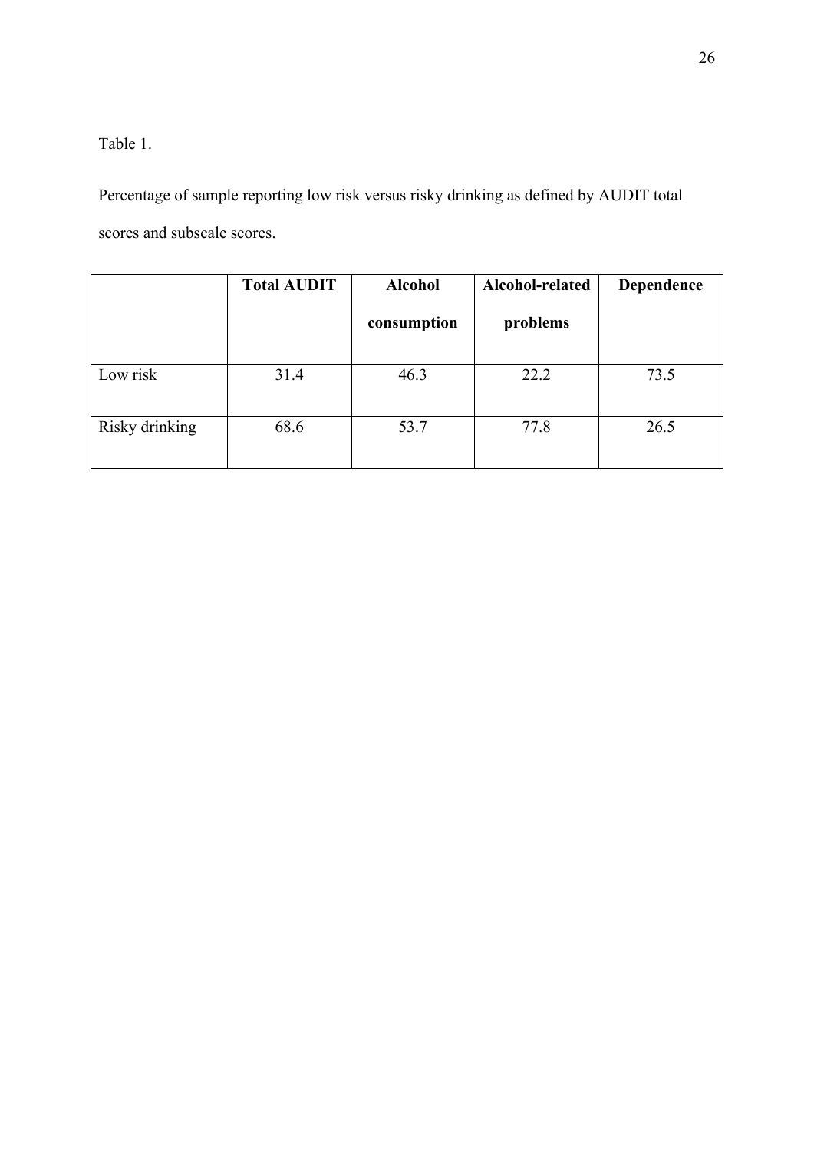Table 1.

Percentage of sample reporting low risk versus risky drinking as defined by AUDIT total scores and subscale scores.

|                | <b>Total AUDIT</b> | <b>Alcohol</b><br>consumption | Alcohol-related<br>problems | Dependence |
|----------------|--------------------|-------------------------------|-----------------------------|------------|
| Low risk       | 31.4               | 46.3                          | 22.2                        | 73.5       |
| Risky drinking | 68.6               | 53.7                          | 77.8                        | 26.5       |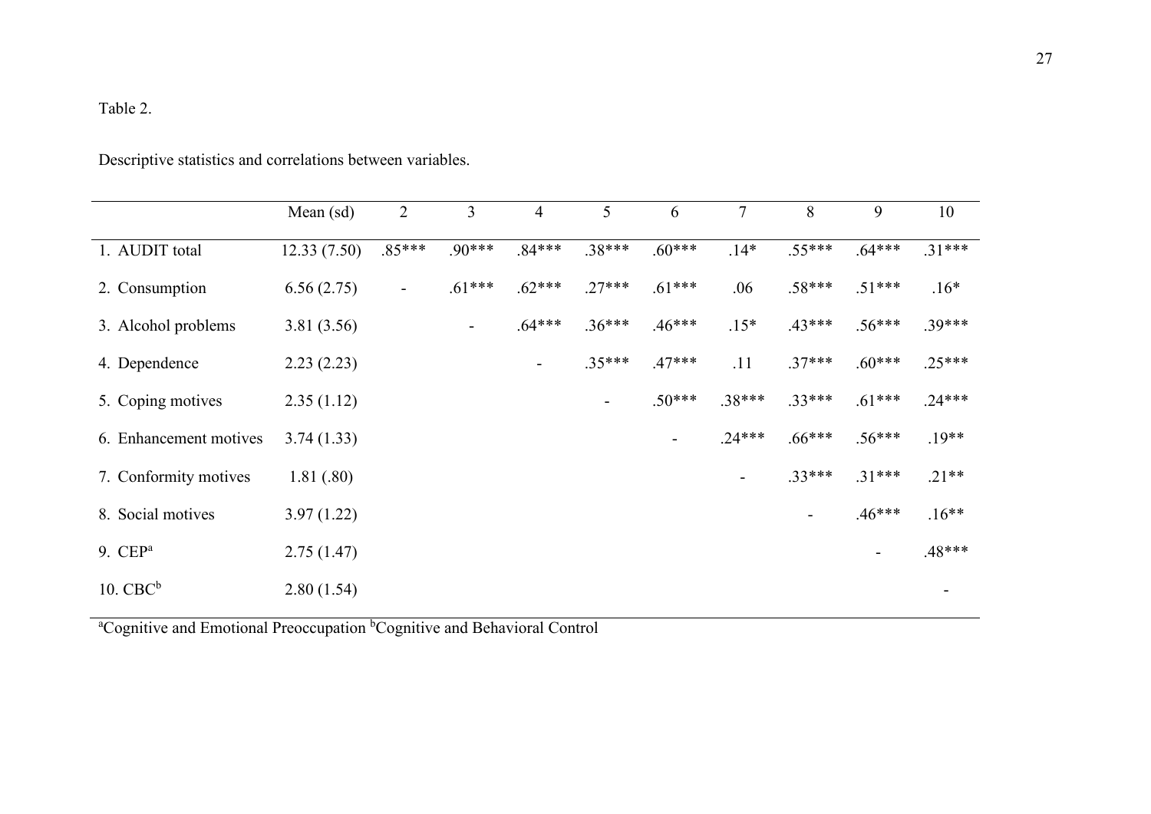## Table 2.

Descriptive statistics and correlations between variables.

|                        | Mean (sd)   | $\overline{2}$ | 3        | 4                        | 5        | 6        | $\tau$         | 8        | 9        | 10       |
|------------------------|-------------|----------------|----------|--------------------------|----------|----------|----------------|----------|----------|----------|
| 1. AUDIT total         | 12.33(7.50) | $.85***$       | $.90***$ | $.84***$                 | $.38***$ | $.60***$ | $.14*$         | $.55***$ | $.64***$ | $.31***$ |
| 2. Consumption         | 6.56(2.75)  | -              | $.61***$ | $.62***$                 | $.27***$ | $.61***$ | .06            | $.58***$ | $.51***$ | $.16*$   |
| 3. Alcohol problems    | 3.81(3.56)  |                | ۰.       | $.64***$                 | $.36***$ | $.46***$ | $.15*$         | $.43***$ | $.56***$ | $.39***$ |
| 4. Dependence          | 2.23(2.23)  |                |          | $\overline{\phantom{a}}$ | $.35***$ | $.47***$ | .11            | $.37***$ | $.60***$ | $.25***$ |
| 5. Coping motives      | 2.35(1.12)  |                |          |                          |          | $.50***$ | $.38***$       | $.33***$ | $.61***$ | $.24***$ |
| 6. Enhancement motives | 3.74(1.33)  |                |          |                          |          |          | $.24***$       | $.66***$ | $.56***$ | $.19**$  |
| 7. Conformity motives  | 1.81(.80)   |                |          |                          |          |          | $\blacksquare$ | $.33***$ | $.31***$ | $.21**$  |
| 8. Social motives      | 3.97(1.22)  |                |          |                          |          |          |                | -        | $.46***$ | $.16**$  |
| 9. $CEPa$              | 2.75(1.47)  |                |          |                          |          |          |                |          |          | $.48***$ |
| $10.$ CBC $\rm ^b$     | 2.80(1.54)  |                |          |                          |          |          |                |          |          |          |

<sup>a</sup>Cognitive and Emotional Preoccupation <sup>b</sup>Cognitive and Behavioral Control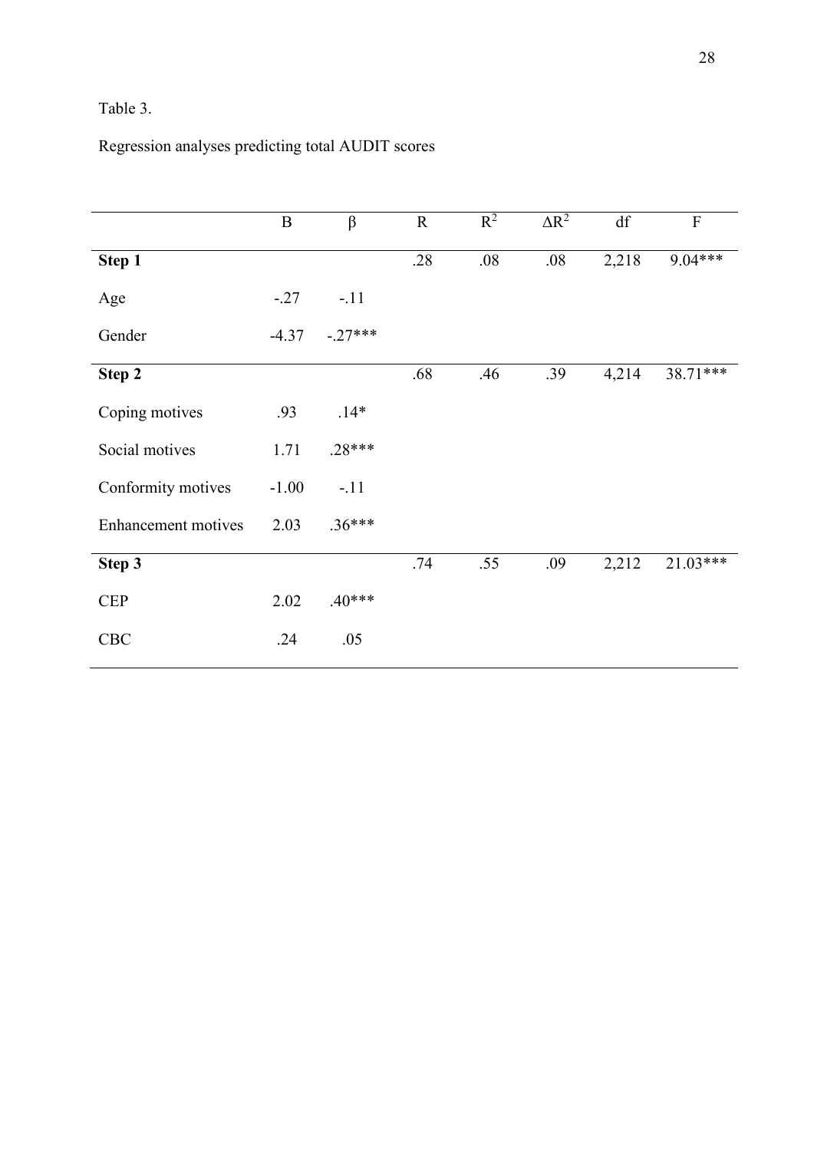## Table 3.

## Regression analyses predicting total AUDIT scores

|                            | $\, {\bf B}$ | $\beta$   | $\mathbf R$ | $R^2$ | $\Delta R^2$ | df    | $\overline{F}$ |
|----------------------------|--------------|-----------|-------------|-------|--------------|-------|----------------|
| Step 1                     |              |           | .28         | .08   | .08          | 2,218 | $9.04***$      |
| Age                        | $-.27$       | $-.11$    |             |       |              |       |                |
| Gender                     | $-4.37$      | $-.27***$ |             |       |              |       |                |
| Step 2                     |              |           | .68         | .46   | .39          | 4,214 | 38.71***       |
| Coping motives             | .93          | $.14*$    |             |       |              |       |                |
| Social motives             | 1.71         | $.28***$  |             |       |              |       |                |
| Conformity motives         | $-1.00$      | $-.11$    |             |       |              |       |                |
| <b>Enhancement</b> motives | 2.03         | $.36***$  |             |       |              |       |                |
| Step 3                     |              |           | .74         | .55   | .09          | 2,212 | $21.03***$     |
| <b>CEP</b>                 | 2.02         | $.40***$  |             |       |              |       |                |
| CBC                        | .24          | .05       |             |       |              |       |                |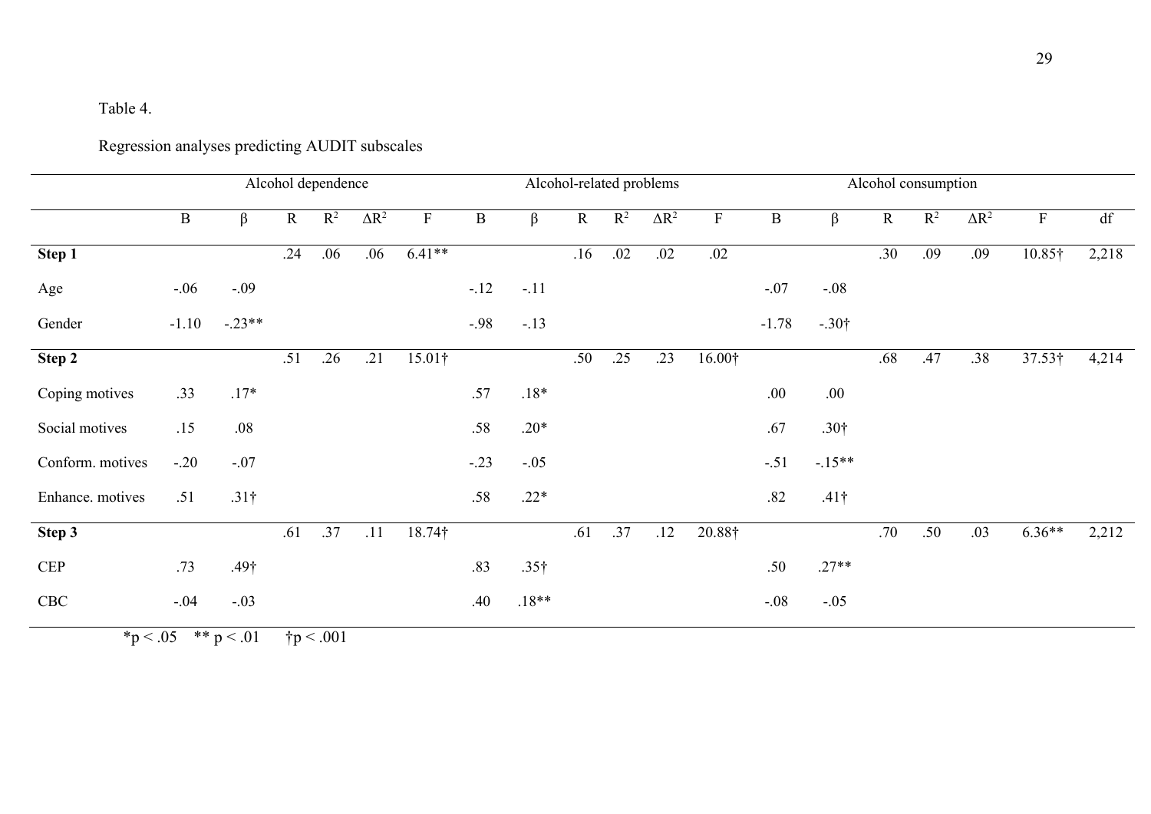## Table 4.

# Regression analyses predicting AUDIT subscales

|                  | Alcohol dependence |              |             |                |              |                |              | Alcohol-related problems |             |                |              |             |              |                  | Alcohol consumption |       |              |                |       |  |
|------------------|--------------------|--------------|-------------|----------------|--------------|----------------|--------------|--------------------------|-------------|----------------|--------------|-------------|--------------|------------------|---------------------|-------|--------------|----------------|-------|--|
|                  | $\, {\bf B}$       | $\beta$      | $\mathbf R$ | $\mathbb{R}^2$ | $\Delta R^2$ | $\mathbf F$    | $\, {\bf B}$ | $\beta$                  | $\mathbf R$ | $\mathbb{R}^2$ | $\Delta R^2$ | $\mathbf F$ | $\, {\bf B}$ | $\beta$          | $\mathbf R$         | $R^2$ | $\Delta R^2$ | $\mathbf{F}$   | df    |  |
| Step 1           |                    |              | .24         | .06            | .06          | $6.41**$       |              |                          | .16         | .02            | .02          | .02         |              |                  | .30                 | .09   | .09          | 10.85†         | 2,218 |  |
| Age              | $-.06$             | $-.09$       |             |                |              |                | $-.12$       | $-.11$                   |             |                |              |             | $-.07$       | $-.08$           |                     |       |              |                |       |  |
| Gender           | $-1.10$            | $-.23**$     |             |                |              |                | $-.98$       | $-.13$                   |             |                |              |             | $-1.78$      | $-.30†$          |                     |       |              |                |       |  |
| Step 2           |                    |              | .51         | .26            | .21          | $15.01\dagger$ |              |                          | .50         | .25            | .23          | 16.00†      |              |                  | .68                 | .47   | .38          | $37.53\dagger$ | 4,214 |  |
| Coping motives   | .33                | $.17*$       |             |                |              |                | .57          | $.18*$                   |             |                |              |             | .00.         | .00.             |                     |       |              |                |       |  |
| Social motives   | .15                | .08          |             |                |              |                | $.58\,$      | $.20*$                   |             |                |              |             | .67          | .30 <sup>†</sup> |                     |       |              |                |       |  |
| Conform. motives | $-.20$             | $-.07$       |             |                |              |                | $-.23$       | $-.05$                   |             |                |              |             | $-.51$       | $-15**$          |                     |       |              |                |       |  |
| Enhance. motives | .51                | $.31\dagger$ |             |                |              |                | .58          | $.22*$                   |             |                |              |             | .82          | $.41\dagger$     |                     |       |              |                |       |  |
| Step 3           |                    |              | .61         | .37            | .11          | 18.74†         |              |                          | .61         | .37            | .12          | 20.88†      |              |                  | .70                 | .50   | .03          | $6.36**$       | 2,212 |  |
| CEP              | .73                | $.49\dagger$ |             |                |              |                | .83          | $.35\dagger$             |             |                |              |             | .50          | $.27**$          |                     |       |              |                |       |  |
| CBC              | $-.04$             | $-.03$       |             |                |              |                | .40          | $.18**$                  |             |                |              |             | $-.08$       | $-.05$           |                     |       |              |                |       |  |

 $*p < .05$   $* p < .01$   $\uparrow p < .001$